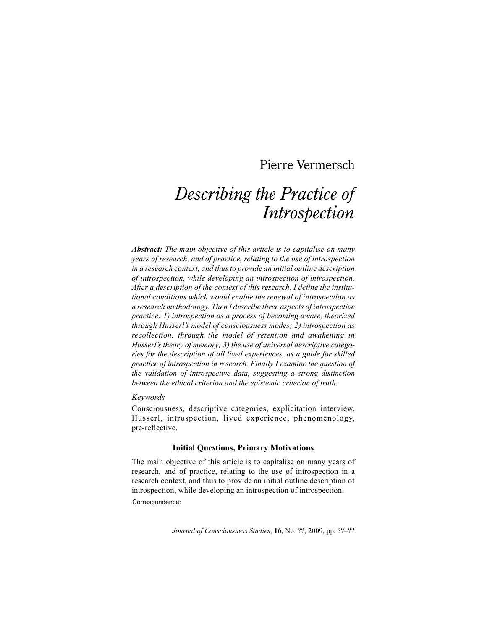# Pierre Vermersch

# *Describing the Practice of Introspection*

*Abstract: The main objective of this article is to capitalise on many years of research, and of practice, relating to the use of introspection in a research context, and thus to provide an initial outline description of introspection, while developing an introspection of introspection. After a description of the context of this research, I define the institutional conditions which would enable the renewal of introspection as a research methodology. Then I describe three aspects of introspective practice: 1) introspection as a process of becoming aware, theorized through Husserl's model of consciousness modes; 2) introspection as recollection, through the model of retention and awakening in Husserl's theory of memory; 3) the use of universal descriptive categories for the description of all lived experiences, as a guide for skilled practice of introspection in research. Finally I examine the question of the validation of introspective data, suggesting a strong distinction between the ethical criterion and the epistemic criterion of truth.*

# *Keywords*

Consciousness, descriptive categories, explicitation interview, Husserl, introspection, lived experience, phenomenology, pre-reflective.

# **Initial Questions, Primary Motivations**

The main objective of this article is to capitalise on many years of research, and of practice, relating to the use of introspection in a research context, and thus to provide an initial outline description of introspection, while developing an introspection of introspection. Correspondence:

*Journal of Consciousness Studies*, **16**, No. ??, 2009, pp. ??–??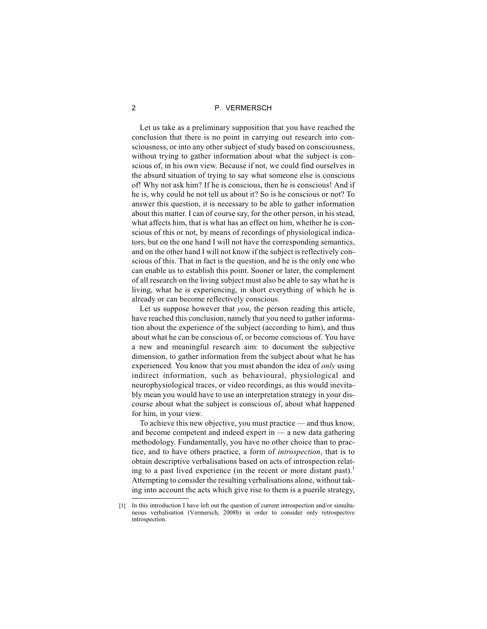Let us take as a preliminary supposition that you have reached the conclusion that there is no point in carrying out research into consciousness, or into any other subject of study based on consciousness, without trying to gather information about what the subject is conscious of, in his own view. Because if not, we could find ourselves in the absurd situation of trying to say what someone else is conscious of! Why not ask him? If he is conscious, then he is conscious! And if he is, why could he not tell us about it? So is he conscious or not? To answer this question, it is necessary to be able to gather information about this matter. I can of course say, for the other person, in his stead, what affects him, that is what has an effect on him, whether he is conscious of this or not, by means of recordings of physiological indicators, but on the one hand I will not have the corresponding semantics, and on the other hand I will not know if the subject is reflectively conscious of this. That in fact is the question, and he is the only one who can enable us to establish this point. Sooner or later, the complement of all research on the living subject must also be able to say what he is living, what he is experiencing, in short everything of which he is already or can become reflectively conscious.

Let us suppose however that *you*, the person reading this article, have reached this conclusion, namely that you need to gather information about the experience of the subject (according to him), and thus about what he can be conscious of, or become conscious of. You have a new and meaningful research aim: to document the subjective dimension, to gather information from the subject about what he has experienced. You know that you must abandon the idea of *only* using indirect information, such as behavioural, physiological and neurophysiological traces, or video recordings, as this would inevitably mean you would have to use an interpretation strategy in your discourse about what the subject is conscious of, about what happened for him, in your view.

To achieve this new objective, you must practice — and thus know, and become competent and indeed expert in — a new data gathering methodology. Fundamentally, you have no other choice than to practice, and to have others practice, a form of *introspection*, that is to obtain descriptive verbalisations based on acts of introspection relating to a past lived experience (in the recent or more distant past).<sup>1</sup> Attempting to consider the resulting verbalisations alone, without taking into account the acts which give rise to them is a puerile strategy,

<sup>[1]</sup> In this introduction I have left out the question of current introspection and/or simultaneous verbalisation (Vermersch, 2008b) in order to consider only retrospective introspection.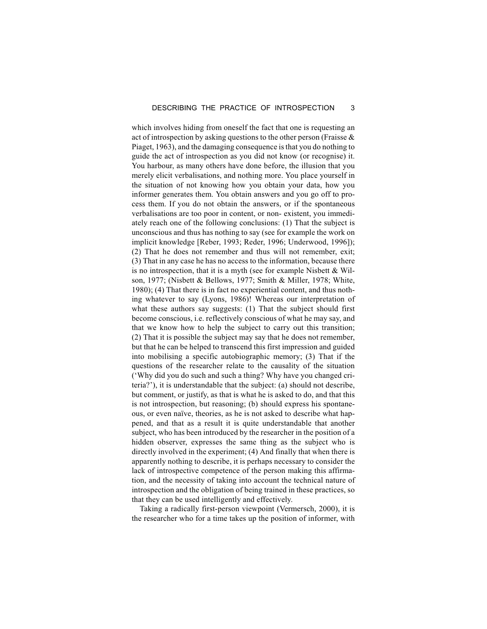which involves hiding from oneself the fact that one is requesting an act of introspection by asking questions to the other person (Fraisse & Piaget, 1963), and the damaging consequence is that you do nothing to guide the act of introspection as you did not know (or recognise) it. You harbour, as many others have done before, the illusion that you merely elicit verbalisations, and nothing more. You place yourself in the situation of not knowing how you obtain your data, how you informer generates them. You obtain answers and you go off to process them. If you do not obtain the answers, or if the spontaneous verbalisations are too poor in content, or non- existent, you immediately reach one of the following conclusions: (1) That the subject is unconscious and thus has nothing to say (see for example the work on implicit knowledge [Reber, 1993; Reder, 1996; Underwood, 1996]); (2) That he does not remember and thus will not remember, exit; (3) That in any case he has no access to the information, because there is no introspection, that it is a myth (see for example Nisbett  $&$  Wilson, 1977; (Nisbett & Bellows, 1977; Smith & Miller, 1978; White, 1980); (4) That there is in fact no experiential content, and thus nothing whatever to say (Lyons, 1986)! Whereas our interpretation of what these authors say suggests: (1) That the subject should first become conscious, i.e. reflectively conscious of what he may say, and that we know how to help the subject to carry out this transition; (2) That it is possible the subject may say that he does not remember, but that he can be helped to transcend this first impression and guided into mobilising a specific autobiographic memory; (3) That if the questions of the researcher relate to the causality of the situation ('Why did you do such and such a thing? Why have you changed criteria?'), it is understandable that the subject: (a) should not describe, but comment, or justify, as that is what he is asked to do, and that this is not introspection, but reasoning; (b) should express his spontaneous, or even naïve, theories, as he is not asked to describe what happened, and that as a result it is quite understandable that another subject, who has been introduced by the researcher in the position of a hidden observer, expresses the same thing as the subject who is directly involved in the experiment; (4) And finally that when there is apparently nothing to describe, it is perhaps necessary to consider the lack of introspective competence of the person making this affirmation, and the necessity of taking into account the technical nature of introspection and the obligation of being trained in these practices, so that they can be used intelligently and effectively.

Taking a radically first-person viewpoint (Vermersch, 2000), it is the researcher who for a time takes up the position of informer, with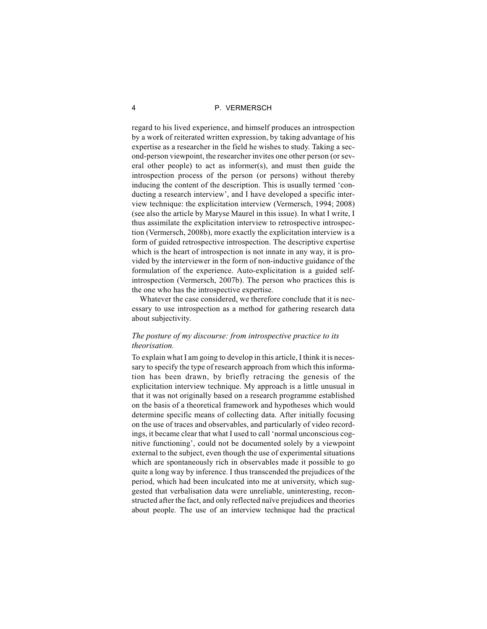regard to his lived experience, and himself produces an introspection by a work of reiterated written expression, by taking advantage of his expertise as a researcher in the field he wishes to study. Taking a second-person viewpoint, the researcher invites one other person (or several other people) to act as informer(s), and must then guide the introspection process of the person (or persons) without thereby inducing the content of the description. This is usually termed 'conducting a research interview', and I have developed a specific interview technique: the explicitation interview (Vermersch, 1994; 2008) (see also the article by Maryse Maurel in this issue). In what I write, I thus assimilate the explicitation interview to retrospective introspection (Vermersch, 2008b), more exactly the explicitation interview is a form of guided retrospective introspection. The descriptive expertise which is the heart of introspection is not innate in any way, it is provided by the interviewer in the form of non-inductive guidance of the formulation of the experience. Auto-explicitation is a guided selfintrospection (Vermersch, 2007b). The person who practices this is the one who has the introspective expertise.

Whatever the case considered, we therefore conclude that it is necessary to use introspection as a method for gathering research data about subjectivity.

# *The posture of my discourse: from introspective practice to its theorisation.*

To explain what I am going to develop in this article, I think it is necessary to specify the type of research approach from which this information has been drawn, by briefly retracing the genesis of the explicitation interview technique. My approach is a little unusual in that it was not originally based on a research programme established on the basis of a theoretical framework and hypotheses which would determine specific means of collecting data. After initially focusing on the use of traces and observables, and particularly of video recordings, it became clear that what I used to call 'normal unconscious cognitive functioning', could not be documented solely by a viewpoint external to the subject, even though the use of experimental situations which are spontaneously rich in observables made it possible to go quite a long way by inference. I thus transcended the prejudices of the period, which had been inculcated into me at university, which suggested that verbalisation data were unreliable, uninteresting, reconstructed after the fact, and only reflected naïve prejudices and theories about people. The use of an interview technique had the practical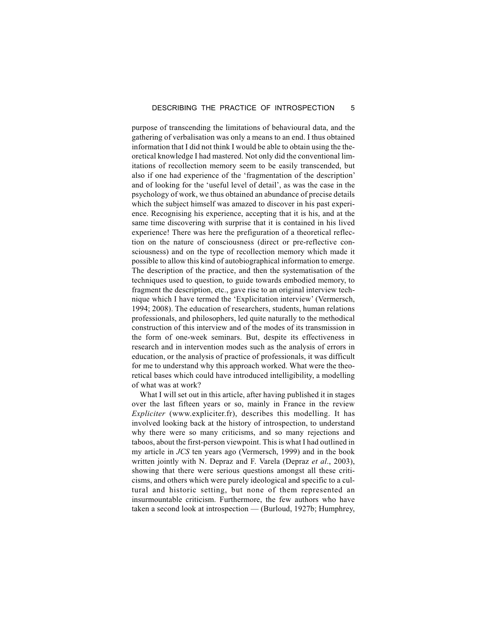purpose of transcending the limitations of behavioural data, and the gathering of verbalisation was only a means to an end. I thus obtained information that I did not think I would be able to obtain using the theoretical knowledge I had mastered. Not only did the conventional limitations of recollection memory seem to be easily transcended, but also if one had experience of the 'fragmentation of the description' and of looking for the 'useful level of detail', as was the case in the psychology of work, we thus obtained an abundance of precise details which the subject himself was amazed to discover in his past experience. Recognising his experience, accepting that it is his, and at the same time discovering with surprise that it is contained in his lived experience! There was here the prefiguration of a theoretical reflection on the nature of consciousness (direct or pre-reflective consciousness) and on the type of recollection memory which made it possible to allow this kind of autobiographical information to emerge. The description of the practice, and then the systematisation of the techniques used to question, to guide towards embodied memory, to fragment the description, etc., gave rise to an original interview technique which I have termed the 'Explicitation interview' (Vermersch, 1994; 2008). The education of researchers, students, human relations professionals, and philosophers, led quite naturally to the methodical construction of this interview and of the modes of its transmission in the form of one-week seminars. But, despite its effectiveness in research and in intervention modes such as the analysis of errors in education, or the analysis of practice of professionals, it was difficult for me to understand why this approach worked. What were the theoretical bases which could have introduced intelligibility, a modelling of what was at work?

What I will set out in this article, after having published it in stages over the last fifteen years or so, mainly in France in the review *Expliciter* (www.expliciter.fr), describes this modelling. It has involved looking back at the history of introspection, to understand why there were so many criticisms, and so many rejections and taboos, about the first-person viewpoint. This is what I had outlined in my article in *JCS* ten years ago (Vermersch, 1999) and in the book written jointly with N. Depraz and F. Varela (Depraz *et al*., 2003), showing that there were serious questions amongst all these criticisms, and others which were purely ideological and specific to a cultural and historic setting, but none of them represented an insurmountable criticism. Furthermore, the few authors who have taken a second look at introspection — (Burloud, 1927b; Humphrey,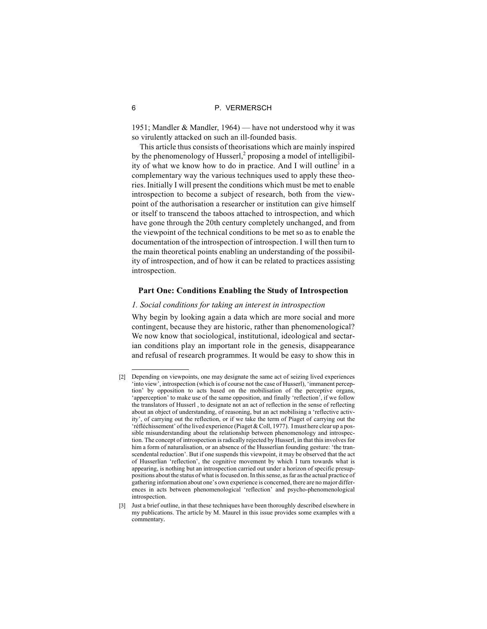1951; Mandler & Mandler, 1964) — have not understood why it was so virulently attacked on such an ill-founded basis.

This article thus consists of theorisations which are mainly inspired by the phenomenology of Husserl, $^2$  proposing a model of intelligibility of what we know how to do in practice. And I will outline<sup>3</sup> in a complementary way the various techniques used to apply these theories. Initially I will present the conditions which must be met to enable introspection to become a subject of research, both from the viewpoint of the authorisation a researcher or institution can give himself or itself to transcend the taboos attached to introspection, and which have gone through the 20th century completely unchanged, and from the viewpoint of the technical conditions to be met so as to enable the documentation of the introspection of introspection. I will then turn to the main theoretical points enabling an understanding of the possibility of introspection, and of how it can be related to practices assisting introspection.

# **Part One: Conditions Enabling the Study of Introspection**

# *1. Social conditions for taking an interest in introspection*

Why begin by looking again a data which are more social and more contingent, because they are historic, rather than phenomenological? We now know that sociological, institutional, ideological and sectarian conditions play an important role in the genesis, disappearance and refusal of research programmes. It would be easy to show this in

<sup>[2]</sup> Depending on viewpoints, one may designate the same act of seizing lived experiences 'into view', introspection (which is of course not the case of Husserl), 'immanent perception' by opposition to acts based on the mobilisation of the perceptive organs, 'apperception' to make use of the same opposition, and finally 'reflection', if we follow the translators of Husserl , to designate not an act of reflection in the sense of reflecting about an object of understanding, of reasoning, but an act mobilising a 'reflective activity', of carrying out the reflection, or if we take the term of Piaget of carrying out the 'réfléchissement' of the lived experience (Piaget & Coll, 1977). I must here clear up a possible misunderstanding about the relationship between phenomenology and introspection. The concept of introspection is radically rejected by Husserl, in that this involves for him a form of naturalisation, or an absence of the Husserlian founding gesture: 'the transcendental reduction'. But if one suspends this viewpoint, it may be observed that the act of Husserlian 'reflection', the cognitive movement by which I turn towards what is appearing, is nothing but an introspection carried out under a horizon of specific presuppositions about the status of what is focused on. In this sense, as far as the actual practice of gathering information about one's own experience is concerned, there are no major differences in acts between phenomenological 'reflection' and psycho-phenomenological introspection.

<sup>[3]</sup> Just a brief outline, in that these techniques have been thoroughly described elsewhere in my publications. The article by M. Maurel in this issue provides some examples with a commentary.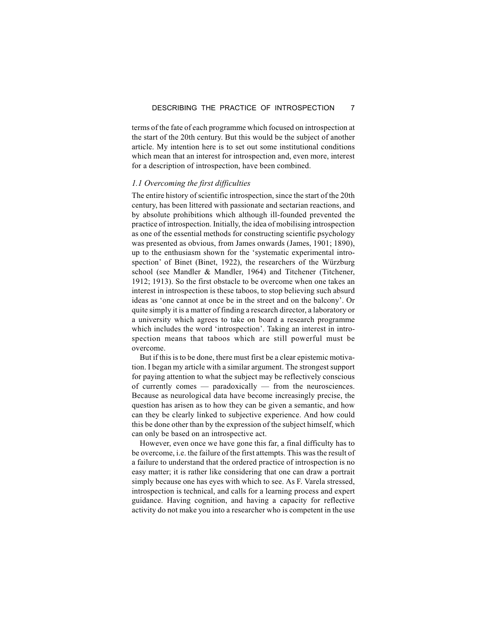terms of the fate of each programme which focused on introspection at the start of the 20th century. But this would be the subject of another article. My intention here is to set out some institutional conditions which mean that an interest for introspection and, even more, interest for a description of introspection, have been combined.

# *1.1 Overcoming the first difficulties*

The entire history of scientific introspection, since the start of the 20th century, has been littered with passionate and sectarian reactions, and by absolute prohibitions which although ill-founded prevented the practice of introspection. Initially, the idea of mobilising introspection as one of the essential methods for constructing scientific psychology was presented as obvious, from James onwards (James, 1901; 1890), up to the enthusiasm shown for the 'systematic experimental introspection' of Binet (Binet, 1922), the researchers of the Würzburg school (see Mandler & Mandler, 1964) and Titchener (Titchener, 1912; 1913). So the first obstacle to be overcome when one takes an interest in introspection is these taboos, to stop believing such absurd ideas as 'one cannot at once be in the street and on the balcony'. Or quite simply it is a matter of finding a research director, a laboratory or a university which agrees to take on board a research programme which includes the word 'introspection'. Taking an interest in introspection means that taboos which are still powerful must be overcome.

But if this is to be done, there must first be a clear epistemic motivation. I began my article with a similar argument. The strongest support for paying attention to what the subject may be reflectively conscious of currently comes — paradoxically — from the neurosciences. Because as neurological data have become increasingly precise, the question has arisen as to how they can be given a semantic, and how can they be clearly linked to subjective experience. And how could this be done other than by the expression of the subject himself, which can only be based on an introspective act.

However, even once we have gone this far, a final difficulty has to be overcome, i.e. the failure of the first attempts. This was the result of a failure to understand that the ordered practice of introspection is no easy matter; it is rather like considering that one can draw a portrait simply because one has eyes with which to see. As F. Varela stressed, introspection is technical, and calls for a learning process and expert guidance. Having cognition, and having a capacity for reflective activity do not make you into a researcher who is competent in the use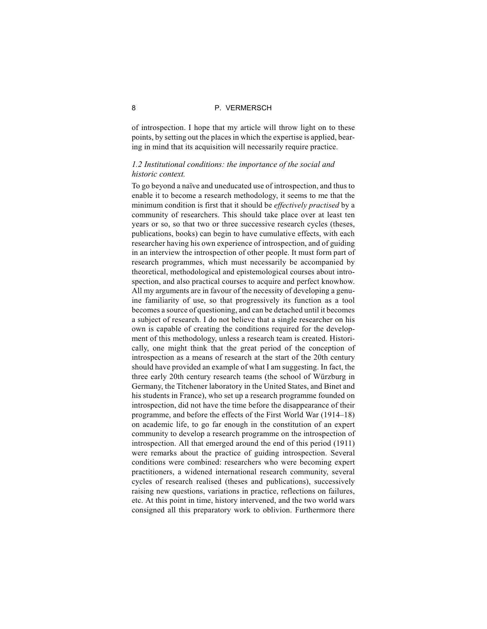of introspection. I hope that my article will throw light on to these points, by setting out the places in which the expertise is applied, bearing in mind that its acquisition will necessarily require practice.

# *1.2 Institutional conditions: the importance of the social and historic context.*

To go beyond a naïve and uneducated use of introspection, and thus to enable it to become a research methodology, it seems to me that the minimum condition is first that it should be *effectively practised* by a community of researchers. This should take place over at least ten years or so, so that two or three successive research cycles (theses, publications, books) can begin to have cumulative effects, with each researcher having his own experience of introspection, and of guiding in an interview the introspection of other people. It must form part of research programmes, which must necessarily be accompanied by theoretical, methodological and epistemological courses about introspection, and also practical courses to acquire and perfect knowhow. All my arguments are in favour of the necessity of developing a genuine familiarity of use, so that progressively its function as a tool becomes a source of questioning, and can be detached until it becomes a subject of research. I do not believe that a single researcher on his own is capable of creating the conditions required for the development of this methodology, unless a research team is created. Historically, one might think that the great period of the conception of introspection as a means of research at the start of the 20th century should have provided an example of what I am suggesting. In fact, the three early 20th century research teams (the school of Würzburg in Germany, the Titchener laboratory in the United States, and Binet and his students in France), who set up a research programme founded on introspection, did not have the time before the disappearance of their programme, and before the effects of the First World War (1914–18) on academic life, to go far enough in the constitution of an expert community to develop a research programme on the introspection of introspection. All that emerged around the end of this period (1911) were remarks about the practice of guiding introspection. Several conditions were combined: researchers who were becoming expert practitioners, a widened international research community, several cycles of research realised (theses and publications), successively raising new questions, variations in practice, reflections on failures, etc. At this point in time, history intervened, and the two world wars consigned all this preparatory work to oblivion. Furthermore there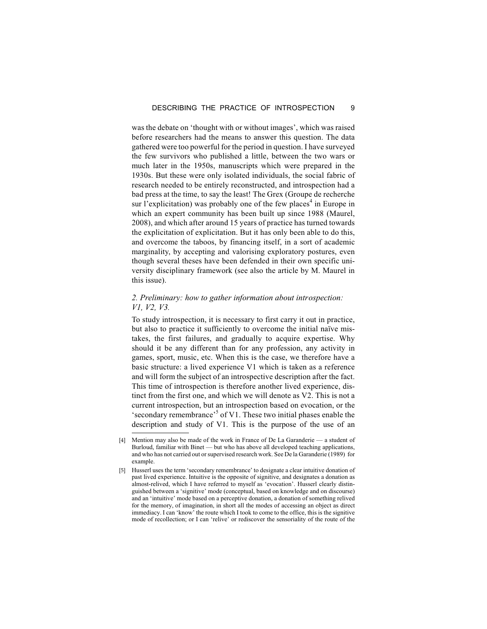was the debate on 'thought with or without images', which was raised before researchers had the means to answer this question. The data gathered were too powerful for the period in question. I have surveyed the few survivors who published a little, between the two wars or much later in the 1950s, manuscripts which were prepared in the 1930s. But these were only isolated individuals, the social fabric of research needed to be entirely reconstructed, and introspection had a bad press at the time, to say the least! The Grex (Groupe de recherche sur l'explicitation) was probably one of the few places<sup>4</sup> in Europe in which an expert community has been built up since 1988 (Maurel, 2008), and which after around 15 years of practice has turned towards the explicitation of explicitation. But it has only been able to do this, and overcome the taboos, by financing itself, in a sort of academic marginality, by accepting and valorising exploratory postures, even though several theses have been defended in their own specific university disciplinary framework (see also the article by M. Maurel in this issue).

# *2. Preliminary: how to gather information about introspection: V1, V2, V3.*

To study introspection, it is necessary to first carry it out in practice, but also to practice it sufficiently to overcome the initial naïve mistakes, the first failures, and gradually to acquire expertise. Why should it be any different than for any profession, any activity in games, sport, music, etc. When this is the case, we therefore have a basic structure: a lived experience V1 which is taken as a reference and will form the subject of an introspective description after the fact. This time of introspection is therefore another lived experience, distinct from the first one, and which we will denote as V2. This is not a current introspection, but an introspection based on evocation, or the 'secondary remembrance'<sup>5</sup> of V1. These two initial phases enable the description and study of V1. This is the purpose of the use of an

<sup>[4]</sup> Mention may also be made of the work in France of De La Garanderie — a student of Burloud, familiar with Binet — but who has above all developed teaching applications, and who has not carried out or supervised research work. See De la Garanderie (1989) for example.

<sup>[5]</sup> Husserl uses the term 'secondary remembrance' to designate a clear intuitive donation of past lived experience. Intuitive is the opposite of signitive, and designates a donation as almost-relived, which I have referred to myself as 'evocation'. Husserl clearly distinguished between a 'signitive' mode (conceptual, based on knowledge and on discourse) and an 'intuitive' mode based on a perceptive donation, a donation of something relived for the memory, of imagination, in short all the modes of accessing an object as direct immediacy. I can 'know' the route which I took to come to the office, this is the signitive mode of recollection; or I can 'relive' or rediscover the sensoriality of the route of the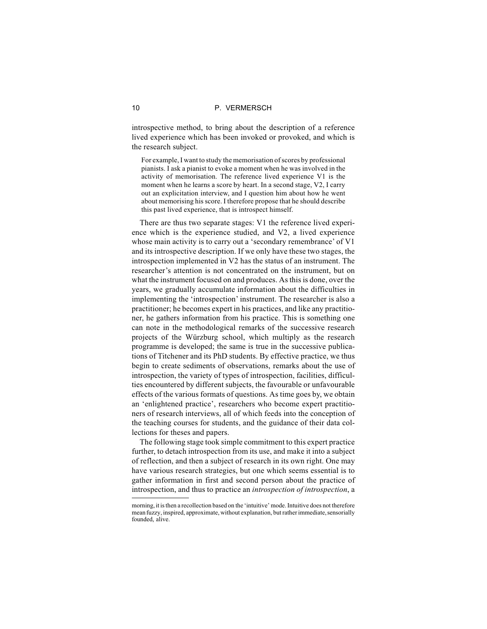introspective method, to bring about the description of a reference lived experience which has been invoked or provoked, and which is the research subject.

For example, I want to study the memorisation of scores by professional pianists. I ask a pianist to evoke a moment when he was involved in the activity of memorisation. The reference lived experience V1 is the moment when he learns a score by heart. In a second stage, V2, I carry out an explicitation interview, and I question him about how he went about memorising his score. I therefore propose that he should describe this past lived experience, that is introspect himself.

There are thus two separate stages: V1 the reference lived experience which is the experience studied, and V2, a lived experience whose main activity is to carry out a 'secondary remembrance' of V1 and its introspective description. If we only have these two stages, the introspection implemented in V2 has the status of an instrument. The researcher's attention is not concentrated on the instrument, but on what the instrument focused on and produces. As this is done, over the years, we gradually accumulate information about the difficulties in implementing the 'introspection' instrument. The researcher is also a practitioner; he becomes expert in his practices, and like any practitioner, he gathers information from his practice. This is something one can note in the methodological remarks of the successive research projects of the Würzburg school, which multiply as the research programme is developed; the same is true in the successive publications of Titchener and its PhD students. By effective practice, we thus begin to create sediments of observations, remarks about the use of introspection, the variety of types of introspection, facilities, difficulties encountered by different subjects, the favourable or unfavourable effects of the various formats of questions. As time goes by, we obtain an 'enlightened practice', researchers who become expert practitioners of research interviews, all of which feeds into the conception of the teaching courses for students, and the guidance of their data collections for theses and papers.

The following stage took simple commitment to this expert practice further, to detach introspection from its use, and make it into a subject of reflection, and then a subject of research in its own right. One may have various research strategies, but one which seems essential is to gather information in first and second person about the practice of introspection, and thus to practice an *introspection of introspection*, a

morning, it is then a recollection based on the 'intuitive' mode. Intuitive does not therefore mean fuzzy, inspired, approximate, without explanation, but rather immediate, sensorially founded, alive.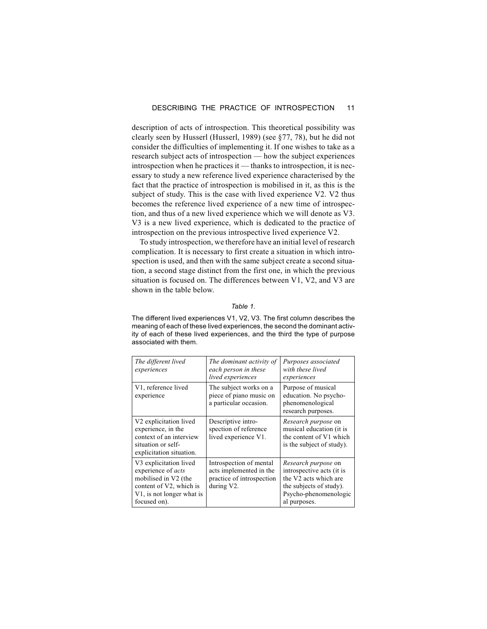description of acts of introspection. This theoretical possibility was clearly seen by Husserl (Husserl, 1989) (see §77, 78), but he did not consider the difficulties of implementing it. If one wishes to take as a research subject acts of introspection — how the subject experiences introspection when he practices it — thanks to introspection, it is necessary to study a new reference lived experience characterised by the fact that the practice of introspection is mobilised in it, as this is the subject of study. This is the case with lived experience V2. V2 thus becomes the reference lived experience of a new time of introspection, and thus of a new lived experience which we will denote as V3. V3 is a new lived experience, which is dedicated to the practice of introspection on the previous introspective lived experience V2.

To study introspection, we therefore have an initial level of research complication. It is necessary to first create a situation in which introspection is used, and then with the same subject create a second situation, a second stage distinct from the first one, in which the previous situation is focused on. The differences between V1, V2, and V3 are shown in the table below.

# *Table 1.*

The different lived experiences V1, V2, V3. The first column describes the meaning of each of these lived experiences, the second the dominant activity of each of these lived experiences, and the third the type of purpose associated with them.

| The different lived<br>experiences                                                                                                                        | The dominant activity of<br>each person in these<br>lived experiences                         | Purposes associated<br>with these lived<br>experiences                                                                                               |
|-----------------------------------------------------------------------------------------------------------------------------------------------------------|-----------------------------------------------------------------------------------------------|------------------------------------------------------------------------------------------------------------------------------------------------------|
| V1, reference lived<br>experience                                                                                                                         | The subject works on a<br>piece of piano music on<br>a particular occasion.                   | Purpose of musical<br>education. No psycho-<br>phenomenological<br>research purposes.                                                                |
| V <sub>2</sub> explicitation lived<br>experience, in the<br>context of an interview<br>situation or self-<br>explicitation situation.                     | Descriptive intro-<br>spection of reference<br>lived experience V1.                           | <i>Research purpose</i> on<br>musical education (it is<br>the content of V1 which<br>is the subject of study).                                       |
| V3 explicitation lived<br>experience of acts<br>mobilised in V2 (the<br>content of V2, which is<br>V <sub>1</sub> , is not longer what is<br>focused on). | Introspection of mental<br>acts implemented in the<br>practice of introspection<br>during V2. | <i>Research purpose</i> on<br>introspective acts (it is<br>the V2 acts which are<br>the subjects of study).<br>Psycho-phenomenologic<br>al purposes. |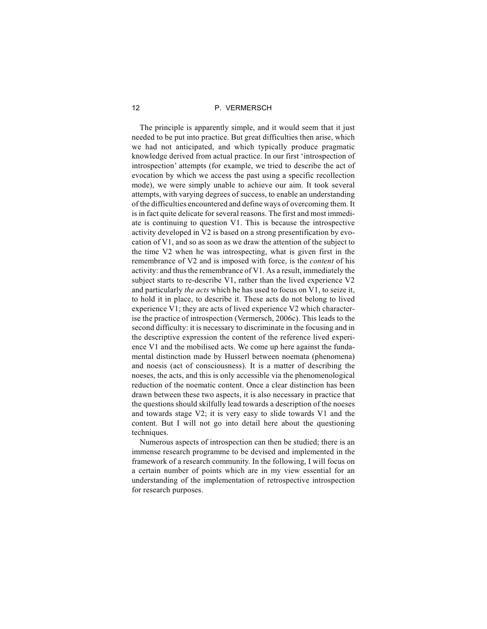The principle is apparently simple, and it would seem that it just needed to be put into practice. But great difficulties then arise, which we had not anticipated, and which typically produce pragmatic knowledge derived from actual practice. In our first 'introspection of introspection' attempts (for example, we tried to describe the act of evocation by which we access the past using a specific recollection mode), we were simply unable to achieve our aim. It took several attempts, with varying degrees of success, to enable an understanding of the difficulties encountered and define ways of overcoming them. It is in fact quite delicate for several reasons. The first and most immediate is continuing to question V1. This is because the introspective activity developed in V2 is based on a strong presentification by evocation of V1, and so as soon as we draw the attention of the subject to the time V2 when he was introspecting, what is given first in the remembrance of V2 and is imposed with force, is the *content* of his activity: and thus the remembrance of V1. As a result, immediately the subject starts to re-describe V1, rather than the lived experience V2 and particularly *the acts* which he has used to focus on V1, to seize it, to hold it in place, to describe it. These acts do not belong to lived experience V1; they are acts of lived experience V2 which characterise the practice of introspection (Vermersch, 2006c). This leads to the second difficulty: it is necessary to discriminate in the focusing and in the descriptive expression the content of the reference lived experience V1 and the mobilised acts. We come up here against the fundamental distinction made by Husserl between noemata (phenomena) and noesis (act of consciousness). It is a matter of describing the noeses, the acts, and this is only accessible via the phenomenological reduction of the noematic content. Once a clear distinction has been drawn between these two aspects, it is also necessary in practice that the questions should skilfully lead towards a description of the noeses and towards stage V2; it is very easy to slide towards V1 and the content. But I will not go into detail here about the questioning techniques.

Numerous aspects of introspection can then be studied; there is an immense research programme to be devised and implemented in the framework of a research community. In the following, I will focus on a certain number of points which are in my view essential for an understanding of the implementation of retrospective introspection for research purposes.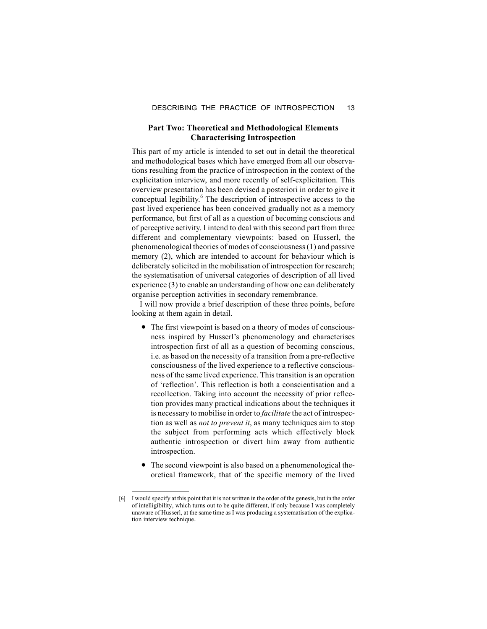# **Part Two: Theoretical and Methodological Elements Characterising Introspection**

This part of my article is intended to set out in detail the theoretical and methodological bases which have emerged from all our observations resulting from the practice of introspection in the context of the explicitation interview, and more recently of self-explicitation. This overview presentation has been devised a posteriori in order to give it conceptual legibility.<sup>6</sup> The description of introspective access to the past lived experience has been conceived gradually not as a memory performance, but first of all as a question of becoming conscious and of perceptive activity. I intend to deal with this second part from three different and complementary viewpoints: based on Husserl, the phenomenological theories of modes of consciousness (1) and passive memory (2), which are intended to account for behaviour which is deliberately solicited in the mobilisation of introspection for research; the systematisation of universal categories of description of all lived experience (3) to enable an understanding of how one can deliberately organise perception activities in secondary remembrance.

I will now provide a brief description of these three points, before looking at them again in detail.

- The first viewpoint is based on a theory of modes of consciousness inspired by Husserl's phenomenology and characterises introspection first of all as a question of becoming conscious, i.e. as based on the necessity of a transition from a pre-reflective consciousness of the lived experience to a reflective consciousness of the same lived experience. This transition is an operation of 'reflection'. This reflection is both a conscientisation and a recollection. Taking into account the necessity of prior reflection provides many practical indications about the techniques it is necessary to mobilise in order to *facilitate* the act of introspection as well as *not to prevent it*, as many techniques aim to stop the subject from performing acts which effectively block authentic introspection or divert him away from authentic introspection.
- The second viewpoint is also based on a phenomenological theoretical framework, that of the specific memory of the lived

<sup>[6]</sup> I would specify at this point that it is not written in the order of the genesis, but in the order of intelligibility, which turns out to be quite different, if only because I was completely unaware of Husserl, at the same time as I was producing a systematisation of the explication interview technique.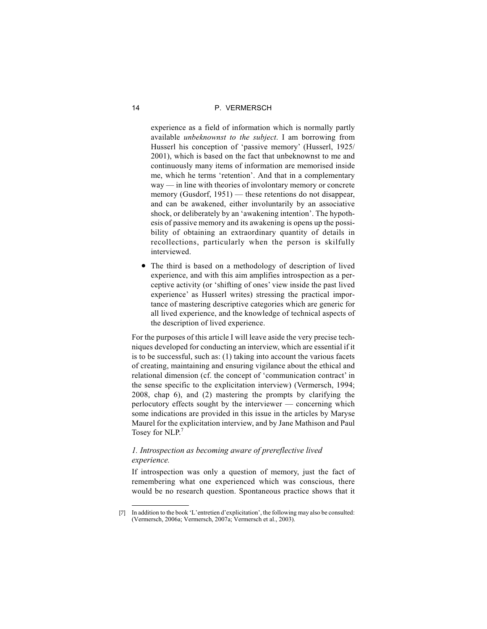experience as a field of information which is normally partly available *unbeknownst to the subject*. I am borrowing from Husserl his conception of 'passive memory' (Husserl, 1925/ 2001), which is based on the fact that unbeknownst to me and continuously many items of information are memorised inside me, which he terms 'retention'. And that in a complementary way — in line with theories of involontary memory or concrete memory (Gusdorf, 1951) — these retentions do not disappear, and can be awakened, either involuntarily by an associative shock, or deliberately by an 'awakening intention'. The hypothesis of passive memory and its awakening is opens up the possibility of obtaining an extraordinary quantity of details in recollections, particularly when the person is skilfully interviewed.

 The third is based on a methodology of description of lived experience, and with this aim amplifies introspection as a perceptive activity (or 'shifting of ones' view inside the past lived experience' as Husserl writes) stressing the practical importance of mastering descriptive categories which are generic for all lived experience, and the knowledge of technical aspects of the description of lived experience.

For the purposes of this article I will leave aside the very precise techniques developed for conducting an interview, which are essential if it is to be successful, such as: (1) taking into account the various facets of creating, maintaining and ensuring vigilance about the ethical and relational dimension (cf. the concept of 'communication contract' in the sense specific to the explicitation interview) (Vermersch, 1994; 2008, chap 6), and (2) mastering the prompts by clarifying the perlocutory effects sought by the interviewer — concerning which some indications are provided in this issue in the articles by Maryse Maurel for the explicitation interview, and by Jane Mathison and Paul Tosey for NLP.<sup>7</sup>

# *1. Introspection as becoming aware of prereflective lived experience.*

If introspection was only a question of memory, just the fact of remembering what one experienced which was conscious, there would be no research question. Spontaneous practice shows that it

<sup>[7]</sup> In addition to the book 'L'entretien d'explicitation', the following may also be consulted: (Vermersch, 2006a; Vermersch, 2007a; Vermersch et al., 2003).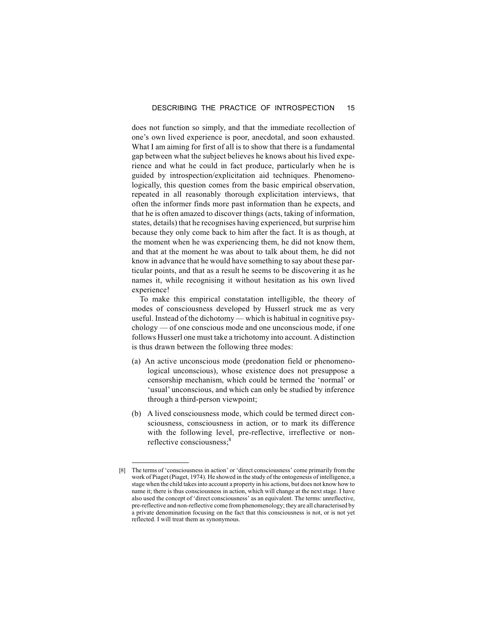does not function so simply, and that the immediate recollection of one's own lived experience is poor, anecdotal, and soon exhausted. What I am aiming for first of all is to show that there is a fundamental gap between what the subject believes he knows about his lived experience and what he could in fact produce, particularly when he is guided by introspection/explicitation aid techniques. Phenomenologically, this question comes from the basic empirical observation, repeated in all reasonably thorough explicitation interviews, that often the informer finds more past information than he expects, and that he is often amazed to discover things (acts, taking of information, states, details) that he recognises having experienced, but surprise him because they only come back to him after the fact. It is as though, at the moment when he was experiencing them, he did not know them, and that at the moment he was about to talk about them, he did not know in advance that he would have something to say about these particular points, and that as a result he seems to be discovering it as he names it, while recognising it without hesitation as his own lived experience!

To make this empirical constatation intelligible, the theory of modes of consciousness developed by Husserl struck me as very useful. Instead of the dichotomy — which is habitual in cognitive psychology — of one conscious mode and one unconscious mode, if one follows Husserl one must take a trichotomy into account. A distinction is thus drawn between the following three modes:

- (a) An active unconscious mode (predonation field or phenomenological unconscious), whose existence does not presuppose a censorship mechanism, which could be termed the 'normal' or 'usual' unconscious, and which can only be studied by inference through a third-person viewpoint;
- (b) A lived consciousness mode, which could be termed direct consciousness, consciousness in action, or to mark its difference with the following level, pre-reflective, irreflective or nonreflective consciousness;<sup>8</sup>

<sup>[8]</sup> The terms of 'consciousness in action' or 'direct consciousness' come primarily from the work of Piaget (Piaget, 1974). He showed in the study of the ontogenesis of intelligence, a stage when the child takes into account a property in his actions, but does not know how to name it; there is thus consciousness in action, which will change at the next stage. I have also used the concept of 'direct consciousness' as an equivalent. The terms: unreflective, pre-reflective and non-reflective come from phenomenology; they are all characterised by a private denomination focusing on the fact that this consciousness is not, or is not yet reflected. I will treat them as synonymous.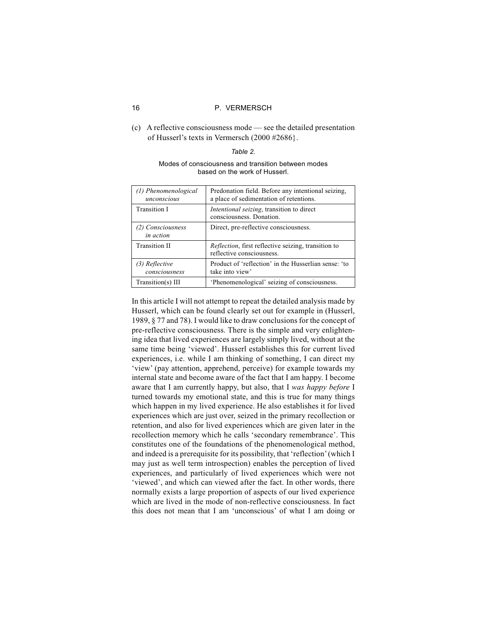(c) A reflective consciousness mode — see the detailed presentation of Husserl's texts in Vermersch (2000 #2686}.

# *Table 2.*

# Modes of consciousness and transition between modes based on the work of Husserl.

| (1) Phenomenological<br>unconscious | Predonation field. Before any intentional seizing,<br>a place of sedimentation of retentions. |  |
|-------------------------------------|-----------------------------------------------------------------------------------------------|--|
| <b>Transition I</b>                 | <i>Intentional seizing</i> , transition to direct<br>consciousness. Donation.                 |  |
| (2) Consciousness<br>in action      | Direct, pre-reflective consciousness.                                                         |  |
| <b>Transition II</b>                | <i>Reflection</i> , first reflective seizing, transition to<br>reflective consciousness.      |  |
| (3) Reflective<br>consciousness     | Product of 'reflection' in the Husserlian sense: 'to<br>take into view'                       |  |
| Transition(s) III                   | 'Phenomenological' seizing of consciousness.                                                  |  |

In this article I will not attempt to repeat the detailed analysis made by Husserl, which can be found clearly set out for example in (Husserl, 1989, § 77 and 78). I would like to draw conclusions for the concept of pre-reflective consciousness. There is the simple and very enlightening idea that lived experiences are largely simply lived, without at the same time being 'viewed'. Husserl establishes this for current lived experiences, i.e. while I am thinking of something, I can direct my 'view' (pay attention, apprehend, perceive) for example towards my internal state and become aware of the fact that I am happy. I become aware that I am currently happy, but also, that I *was happy before* I turned towards my emotional state, and this is true for many things which happen in my lived experience. He also establishes it for lived experiences which are just over, seized in the primary recollection or retention, and also for lived experiences which are given later in the recollection memory which he calls 'secondary remembrance'. This constitutes one of the foundations of the phenomenological method, and indeed is a prerequisite for its possibility, that 'reflection'(which I may just as well term introspection) enables the perception of lived experiences, and particularly of lived experiences which were not 'viewed', and which can viewed after the fact. In other words, there normally exists a large proportion of aspects of our lived experience which are lived in the mode of non-reflective consciousness. In fact this does not mean that I am 'unconscious' of what I am doing or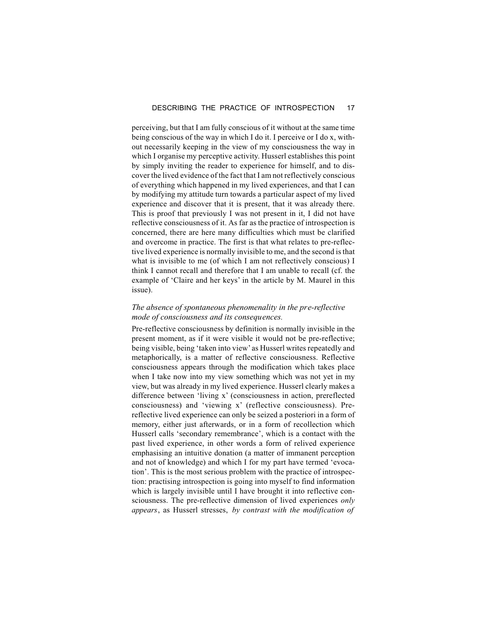perceiving, but that I am fully conscious of it without at the same time being conscious of the way in which I do it. I perceive or I do x, without necessarily keeping in the view of my consciousness the way in which I organise my perceptive activity. Husserl establishes this point by simply inviting the reader to experience for himself, and to discover the lived evidence of the fact that I am not reflectively conscious of everything which happened in my lived experiences, and that I can by modifying my attitude turn towards a particular aspect of my lived experience and discover that it is present, that it was already there. This is proof that previously I was not present in it, I did not have reflective consciousness of it. As far as the practice of introspection is concerned, there are here many difficulties which must be clarified and overcome in practice. The first is that what relates to pre-reflective lived experience is normally invisible to me, and the second is that what is invisible to me (of which I am not reflectively conscious) I think I cannot recall and therefore that I am unable to recall (cf. the example of 'Claire and her keys' in the article by M. Maurel in this issue).

# *The absence of spontaneous phenomenality in the pre-reflective mode of consciousness and its consequences.*

Pre-reflective consciousness by definition is normally invisible in the present moment, as if it were visible it would not be pre-reflective; being visible, being 'taken into view'as Husserl writes repeatedly and metaphorically, is a matter of reflective consciousness. Reflective consciousness appears through the modification which takes place when I take now into my view something which was not yet in my view, but was already in my lived experience. Husserl clearly makes a difference between 'living x' (consciousness in action, prereflected consciousness) and 'viewing x' (reflective consciousness). Prereflective lived experience can only be seized a posteriori in a form of memory, either just afterwards, or in a form of recollection which Husserl calls 'secondary remembrance', which is a contact with the past lived experience, in other words a form of relived experience emphasising an intuitive donation (a matter of immanent perception and not of knowledge) and which I for my part have termed 'evocation'. This is the most serious problem with the practice of introspection: practising introspection is going into myself to find information which is largely invisible until I have brought it into reflective consciousness. The pre-reflective dimension of lived experiences *only appears*, as Husserl stresses, *by contrast with the modification of*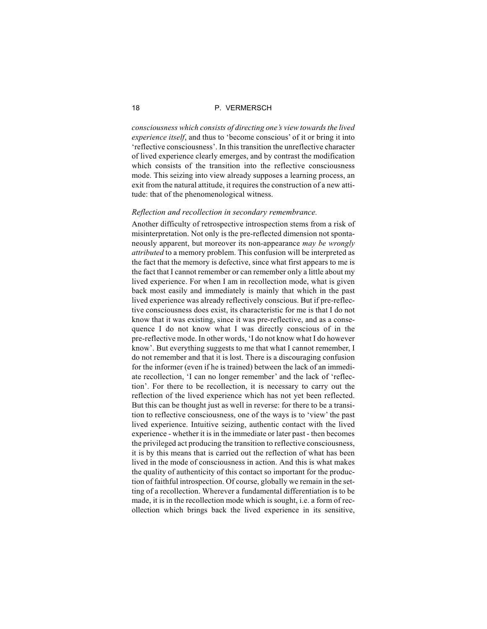*consciousness which consists of directing one's view towards the lived experience itself*, and thus to 'become conscious' of it or bring it into 'reflective consciousness'. In this transition the unreflective character of lived experience clearly emerges, and by contrast the modification which consists of the transition into the reflective consciousness mode. This seizing into view already supposes a learning process, an exit from the natural attitude, it requires the construction of a new attitude: that of the phenomenological witness.

# *Reflection and recollection in secondary remembrance.*

Another difficulty of retrospective introspection stems from a risk of misinterpretation. Not only is the pre-reflected dimension not spontaneously apparent, but moreover its non-appearance *may be wrongly attributed* to a memory problem. This confusion will be interpreted as the fact that the memory is defective, since what first appears to me is the fact that I cannot remember or can remember only a little about my lived experience. For when I am in recollection mode, what is given back most easily and immediately is mainly that which in the past lived experience was already reflectively conscious. But if pre-reflective consciousness does exist, its characteristic for me is that I do not know that it was existing, since it was pre-reflective, and as a consequence I do not know what I was directly conscious of in the pre-reflective mode. In other words, 'I do not know what I do however know'. But everything suggests to me that what I cannot remember, I do not remember and that it is lost. There is a discouraging confusion for the informer (even if he is trained) between the lack of an immediate recollection, 'I can no longer remember' and the lack of 'reflection'. For there to be recollection, it is necessary to carry out the reflection of the lived experience which has not yet been reflected. But this can be thought just as well in reverse: for there to be a transition to reflective consciousness, one of the ways is to 'view' the past lived experience. Intuitive seizing, authentic contact with the lived experience - whether it is in the immediate or later past - then becomes the privileged act producing the transition to reflective consciousness, it is by this means that is carried out the reflection of what has been lived in the mode of consciousness in action. And this is what makes the quality of authenticity of this contact so important for the production of faithful introspection. Of course, globally we remain in the setting of a recollection. Wherever a fundamental differentiation is to be made, it is in the recollection mode which is sought, i.e. a form of recollection which brings back the lived experience in its sensitive,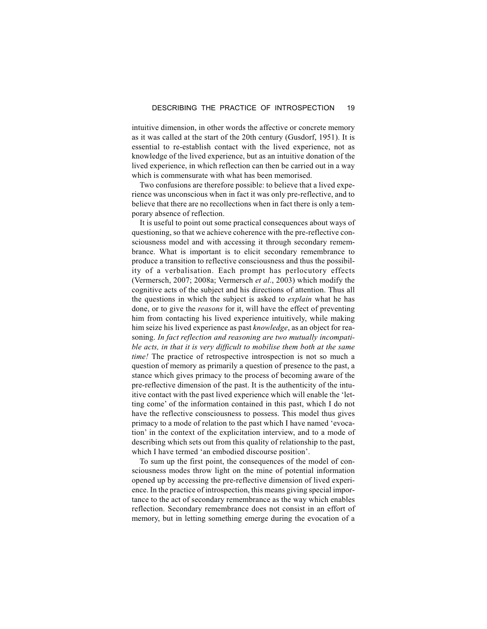intuitive dimension, in other words the affective or concrete memory as it was called at the start of the 20th century (Gusdorf, 1951). It is essential to re-establish contact with the lived experience, not as knowledge of the lived experience, but as an intuitive donation of the lived experience, in which reflection can then be carried out in a way which is commensurate with what has been memorised.

Two confusions are therefore possible: to believe that a lived experience was unconscious when in fact it was only pre-reflective, and to believe that there are no recollections when in fact there is only a temporary absence of reflection.

It is useful to point out some practical consequences about ways of questioning, so that we achieve coherence with the pre-reflective consciousness model and with accessing it through secondary remembrance. What is important is to elicit secondary remembrance to produce a transition to reflective consciousness and thus the possibility of a verbalisation. Each prompt has perlocutory effects (Vermersch, 2007; 2008a; Vermersch *et al*., 2003) which modify the cognitive acts of the subject and his directions of attention. Thus all the questions in which the subject is asked to *explain* what he has done, or to give the *reasons* for it, will have the effect of preventing him from contacting his lived experience intuitively, while making him seize his lived experience as past *knowledge*, as an object for reasoning. *In fact reflection and reasoning are two mutually incompatible acts, in that it is very difficult to mobilise them both at the same time!* The practice of retrospective introspection is not so much a question of memory as primarily a question of presence to the past, a stance which gives primacy to the process of becoming aware of the pre-reflective dimension of the past. It is the authenticity of the intuitive contact with the past lived experience which will enable the 'letting come' of the information contained in this past, which I do not have the reflective consciousness to possess. This model thus gives primacy to a mode of relation to the past which I have named 'evocation' in the context of the explicitation interview, and to a mode of describing which sets out from this quality of relationship to the past, which I have termed 'an embodied discourse position'.

To sum up the first point, the consequences of the model of consciousness modes throw light on the mine of potential information opened up by accessing the pre-reflective dimension of lived experience. In the practice of introspection, this means giving special importance to the act of secondary remembrance as the way which enables reflection. Secondary remembrance does not consist in an effort of memory, but in letting something emerge during the evocation of a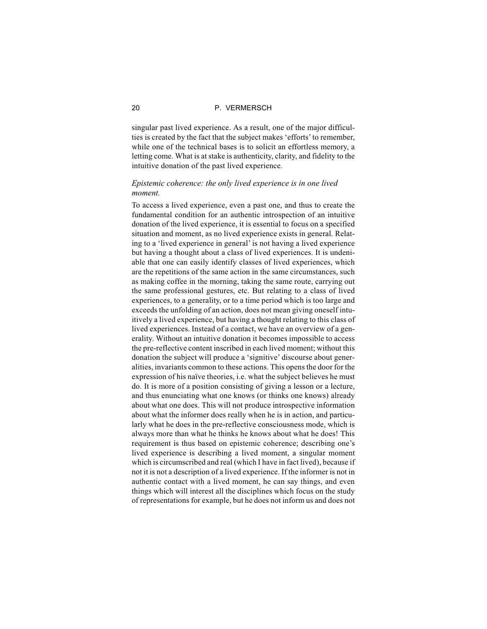singular past lived experience. As a result, one of the major difficulties is created by the fact that the subject makes 'efforts' to remember, while one of the technical bases is to solicit an effortless memory, a letting come. What is at stake is authenticity, clarity, and fidelity to the intuitive donation of the past lived experience.

# *Epistemic coherence: the only lived experience is in one lived moment.*

To access a lived experience, even a past one, and thus to create the fundamental condition for an authentic introspection of an intuitive donation of the lived experience, it is essential to focus on a specified situation and moment, as no lived experience exists in general. Relating to a 'lived experience in general' is not having a lived experience but having a thought about a class of lived experiences. It is undeniable that one can easily identify classes of lived experiences, which are the repetitions of the same action in the same circumstances, such as making coffee in the morning, taking the same route, carrying out the same professional gestures, etc. But relating to a class of lived experiences, to a generality, or to a time period which is too large and exceeds the unfolding of an action, does not mean giving oneself intuitively a lived experience, but having a thought relating to this class of lived experiences. Instead of a contact, we have an overview of a generality. Without an intuitive donation it becomes impossible to access the pre-reflective content inscribed in each lived moment; without this donation the subject will produce a 'signitive' discourse about generalities, invariants common to these actions. This opens the door for the expression of his naïve theories, i.e. what the subject believes he must do. It is more of a position consisting of giving a lesson or a lecture, and thus enunciating what one knows (or thinks one knows) already about what one does. This will not produce introspective information about what the informer does really when he is in action, and particularly what he does in the pre-reflective consciousness mode, which is always more than what he thinks he knows about what he does! This requirement is thus based on epistemic coherence; describing one's lived experience is describing a lived moment, a singular moment which is circumscribed and real (which I have in fact lived), because if not it is not a description of a lived experience. If the informer is not in authentic contact with a lived moment, he can say things, and even things which will interest all the disciplines which focus on the study of representations for example, but he does not inform us and does not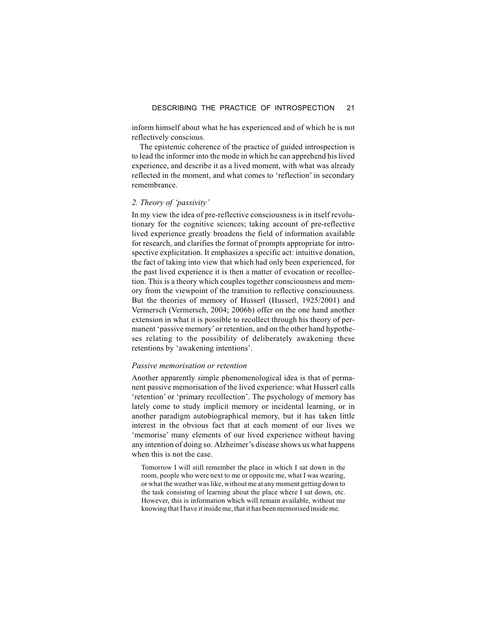inform himself about what he has experienced and of which he is not reflectively conscious.

The epistemic coherence of the practice of guided introspection is to lead the informer into the mode in which he can apprehend his lived experience, and describe it as a lived moment, with what was already reflected in the moment, and what comes to 'reflection' in secondary remembrance.

# *2. Theory of 'passivity'*

In my view the idea of pre-reflective consciousness is in itself revolutionary for the cognitive sciences; taking account of pre-reflective lived experience greatly broadens the field of information available for research, and clarifies the format of prompts appropriate for introspective explicitation. It emphasizes a specific act: intuitive donation, the fact of taking into view that which had only been experienced, for the past lived experience it is then a matter of evocation or recollection. This is a theory which couples together consciousness and memory from the viewpoint of the transition to reflective consciousness. But the theories of memory of Husserl (Husserl, 1925/2001) and Vermersch (Vermersch, 2004; 2006b) offer on the one hand another extension in what it is possible to recollect through his theory of permanent 'passive memory' or retention, and on the other hand hypotheses relating to the possibility of deliberately awakening these retentions by 'awakening intentions'.

# *Passive memorisation or retention*

Another apparently simple phenomenological idea is that of permanent passive memorisation of the lived experience: what Husserl calls 'retention' or 'primary recollection'. The psychology of memory has lately come to study implicit memory or incidental learning, or in another paradigm autobiographical memory, but it has taken little interest in the obvious fact that at each moment of our lives we 'memorise' many elements of our lived experience without having any intention of doing so. Alzheimer's disease shows us what happens when this is not the case.

Tomorrow I will still remember the place in which I sat down in the room, people who were next to me or opposite me, what I was wearing, or what the weather was like, without me at any moment getting down to the task consisting of learning about the place where I sat down, etc. However, this is information which will remain available, without me knowing that I have it inside me, that it has been memorised inside me.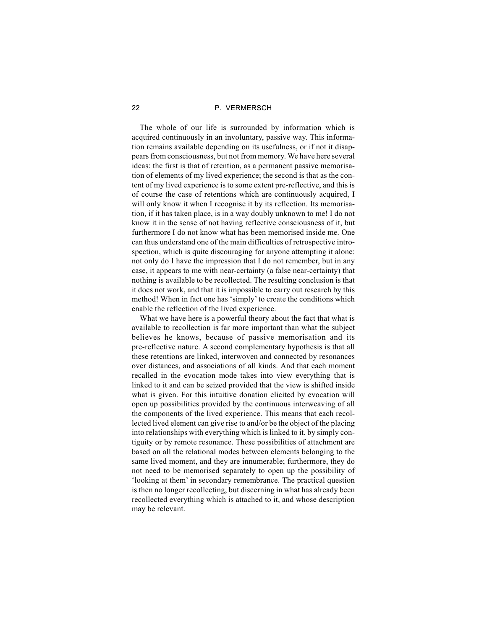The whole of our life is surrounded by information which is acquired continuously in an involuntary, passive way. This information remains available depending on its usefulness, or if not it disappears from consciousness, but not from memory. We have here several ideas: the first is that of retention, as a permanent passive memorisation of elements of my lived experience; the second is that as the content of my lived experience is to some extent pre-reflective, and this is of course the case of retentions which are continuously acquired, I will only know it when I recognise it by its reflection. Its memorisation, if it has taken place, is in a way doubly unknown to me! I do not know it in the sense of not having reflective consciousness of it, but furthermore I do not know what has been memorised inside me. One can thus understand one of the main difficulties of retrospective introspection, which is quite discouraging for anyone attempting it alone: not only do I have the impression that I do not remember, but in any case, it appears to me with near-certainty (a false near-certainty) that nothing is available to be recollected. The resulting conclusion is that it does not work, and that it is impossible to carry out research by this method! When in fact one has 'simply' to create the conditions which enable the reflection of the lived experience.

What we have here is a powerful theory about the fact that what is available to recollection is far more important than what the subject believes he knows, because of passive memorisation and its pre-reflective nature. A second complementary hypothesis is that all these retentions are linked, interwoven and connected by resonances over distances, and associations of all kinds. And that each moment recalled in the evocation mode takes into view everything that is linked to it and can be seized provided that the view is shifted inside what is given. For this intuitive donation elicited by evocation will open up possibilities provided by the continuous interweaving of all the components of the lived experience. This means that each recollected lived element can give rise to and/or be the object of the placing into relationships with everything which is linked to it, by simply contiguity or by remote resonance. These possibilities of attachment are based on all the relational modes between elements belonging to the same lived moment, and they are innumerable; furthermore, they do not need to be memorised separately to open up the possibility of 'looking at them' in secondary remembrance. The practical question is then no longer recollecting, but discerning in what has already been recollected everything which is attached to it, and whose description may be relevant.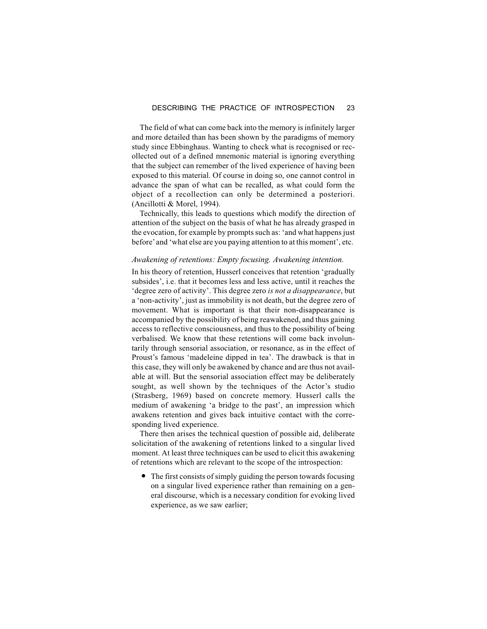The field of what can come back into the memory is infinitely larger and more detailed than has been shown by the paradigms of memory study since Ebbinghaus. Wanting to check what is recognised or recollected out of a defined mnemonic material is ignoring everything that the subject can remember of the lived experience of having been exposed to this material. Of course in doing so, one cannot control in advance the span of what can be recalled, as what could form the object of a recollection can only be determined a posteriori. (Ancillotti & Morel, 1994).

Technically, this leads to questions which modify the direction of attention of the subject on the basis of what he has already grasped in the evocation, for example by prompts such as: 'and what happens just before'and 'what else are you paying attention to at this moment', etc.

# *Awakening of retentions: Empty focusing. Awakening intention.*

In his theory of retention, Husserl conceives that retention 'gradually subsides', i.e. that it becomes less and less active, until it reaches the 'degree zero of activity'. This degree zero *is not a disappearance*, but a 'non-activity', just as immobility is not death, but the degree zero of movement. What is important is that their non-disappearance is accompanied by the possibility of being reawakened, and thus gaining access to reflective consciousness, and thus to the possibility of being verbalised. We know that these retentions will come back involuntarily through sensorial association, or resonance, as in the effect of Proust's famous 'madeleine dipped in tea'. The drawback is that in this case, they will only be awakened by chance and are thus not available at will. But the sensorial association effect may be deliberately sought, as well shown by the techniques of the Actor's studio (Strasberg, 1969) based on concrete memory. Husserl calls the medium of awakening 'a bridge to the past', an impression which awakens retention and gives back intuitive contact with the corresponding lived experience.

There then arises the technical question of possible aid, deliberate solicitation of the awakening of retentions linked to a singular lived moment. At least three techniques can be used to elicit this awakening of retentions which are relevant to the scope of the introspection:

 The first consists of simply guiding the person towards focusing on a singular lived experience rather than remaining on a general discourse, which is a necessary condition for evoking lived experience, as we saw earlier;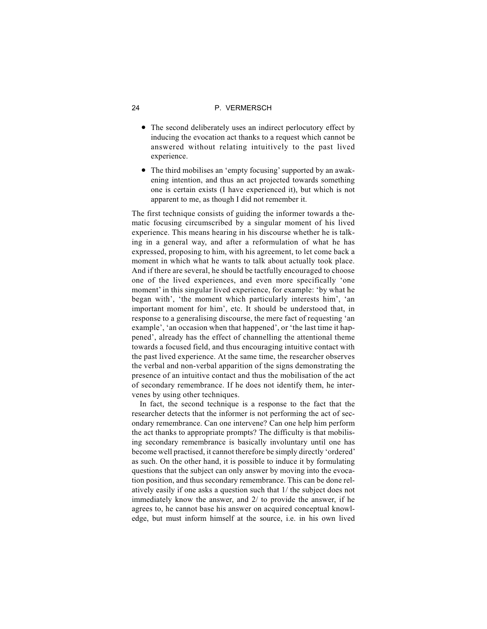- The second deliberately uses an indirect perlocutory effect by inducing the evocation act thanks to a request which cannot be answered without relating intuitively to the past lived experience.
- The third mobilises an 'empty focusing' supported by an awakening intention, and thus an act projected towards something one is certain exists (I have experienced it), but which is not apparent to me, as though I did not remember it.

The first technique consists of guiding the informer towards a thematic focusing circumscribed by a singular moment of his lived experience. This means hearing in his discourse whether he is talking in a general way, and after a reformulation of what he has expressed, proposing to him, with his agreement, to let come back a moment in which what he wants to talk about actually took place. And if there are several, he should be tactfully encouraged to choose one of the lived experiences, and even more specifically 'one moment' in this singular lived experience, for example: 'by what he began with', 'the moment which particularly interests him', 'an important moment for him', etc. It should be understood that, in response to a generalising discourse, the mere fact of requesting 'an example', 'an occasion when that happened', or 'the last time it happened', already has the effect of channelling the attentional theme towards a focused field, and thus encouraging intuitive contact with the past lived experience. At the same time, the researcher observes the verbal and non-verbal apparition of the signs demonstrating the presence of an intuitive contact and thus the mobilisation of the act of secondary remembrance. If he does not identify them, he intervenes by using other techniques.

In fact, the second technique is a response to the fact that the researcher detects that the informer is not performing the act of secondary remembrance. Can one intervene? Can one help him perform the act thanks to appropriate prompts? The difficulty is that mobilising secondary remembrance is basically involuntary until one has become well practised, it cannot therefore be simply directly 'ordered' as such. On the other hand, it is possible to induce it by formulating questions that the subject can only answer by moving into the evocation position, and thus secondary remembrance. This can be done relatively easily if one asks a question such that 1/ the subject does not immediately know the answer, and 2/ to provide the answer, if he agrees to, he cannot base his answer on acquired conceptual knowledge, but must inform himself at the source, i.e. in his own lived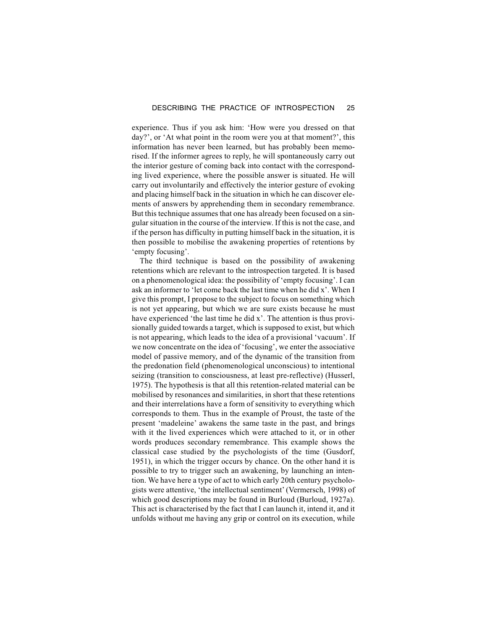experience. Thus if you ask him: 'How were you dressed on that day?', or 'At what point in the room were you at that moment?', this information has never been learned, but has probably been memorised. If the informer agrees to reply, he will spontaneously carry out the interior gesture of coming back into contact with the corresponding lived experience, where the possible answer is situated. He will carry out involuntarily and effectively the interior gesture of evoking and placing himself back in the situation in which he can discover elements of answers by apprehending them in secondary remembrance. But this technique assumes that one has already been focused on a singular situation in the course of the interview. If this is not the case, and if the person has difficulty in putting himself back in the situation, it is then possible to mobilise the awakening properties of retentions by 'empty focusing'.

The third technique is based on the possibility of awakening retentions which are relevant to the introspection targeted. It is based on a phenomenological idea: the possibility of 'empty focusing'. I can ask an informer to 'let come back the last time when he did x'. When I give this prompt, I propose to the subject to focus on something which is not yet appearing, but which we are sure exists because he must have experienced 'the last time he did x'. The attention is thus provisionally guided towards a target, which is supposed to exist, but which is not appearing, which leads to the idea of a provisional 'vacuum'. If we now concentrate on the idea of 'focusing', we enter the associative model of passive memory, and of the dynamic of the transition from the predonation field (phenomenological unconscious) to intentional seizing (transition to consciousness, at least pre-reflective) (Husserl, 1975). The hypothesis is that all this retention-related material can be mobilised by resonances and similarities, in short that these retentions and their interrelations have a form of sensitivity to everything which corresponds to them. Thus in the example of Proust, the taste of the present 'madeleine' awakens the same taste in the past, and brings with it the lived experiences which were attached to it, or in other words produces secondary remembrance. This example shows the classical case studied by the psychologists of the time (Gusdorf, 1951), in which the trigger occurs by chance. On the other hand it is possible to try to trigger such an awakening, by launching an intention. We have here a type of act to which early 20th century psychologists were attentive, 'the intellectual sentiment' (Vermersch, 1998) of which good descriptions may be found in Burloud (Burloud, 1927a). This act is characterised by the fact that I can launch it, intend it, and it unfolds without me having any grip or control on its execution, while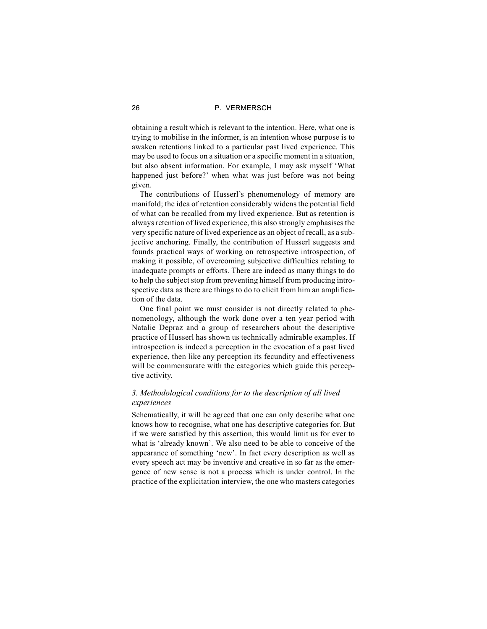obtaining a result which is relevant to the intention. Here, what one is trying to mobilise in the informer, is an intention whose purpose is to awaken retentions linked to a particular past lived experience. This may be used to focus on a situation or a specific moment in a situation, but also absent information. For example, I may ask myself 'What happened just before?' when what was just before was not being given.

The contributions of Husserl's phenomenology of memory are manifold; the idea of retention considerably widens the potential field of what can be recalled from my lived experience. But as retention is always retention of lived experience, this also strongly emphasises the very specific nature of lived experience as an object of recall, as a subjective anchoring. Finally, the contribution of Husserl suggests and founds practical ways of working on retrospective introspection, of making it possible, of overcoming subjective difficulties relating to inadequate prompts or efforts. There are indeed as many things to do to help the subject stop from preventing himself from producing introspective data as there are things to do to elicit from him an amplification of the data.

One final point we must consider is not directly related to phenomenology, although the work done over a ten year period with Natalie Depraz and a group of researchers about the descriptive practice of Husserl has shown us technically admirable examples. If introspection is indeed a perception in the evocation of a past lived experience, then like any perception its fecundity and effectiveness will be commensurate with the categories which guide this perceptive activity.

# *3. Methodological conditions for to the description of all lived experiences*

Schematically, it will be agreed that one can only describe what one knows how to recognise, what one has descriptive categories for. But if we were satisfied by this assertion, this would limit us for ever to what is 'already known'. We also need to be able to conceive of the appearance of something 'new'. In fact every description as well as every speech act may be inventive and creative in so far as the emergence of new sense is not a process which is under control. In the practice of the explicitation interview, the one who masters categories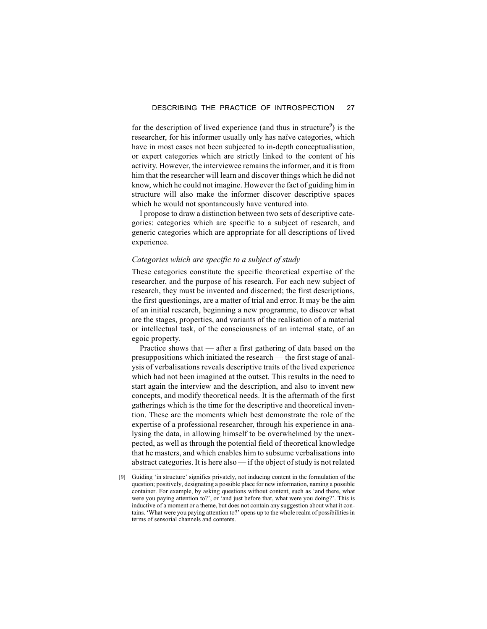for the description of lived experience (and thus in structure<sup>9</sup>) is the researcher, for his informer usually only has naïve categories, which have in most cases not been subjected to in-depth conceptualisation, or expert categories which are strictly linked to the content of his activity. However, the interviewee remains the informer, and it is from him that the researcher will learn and discover things which he did not know, which he could not imagine. However the fact of guiding him in structure will also make the informer discover descriptive spaces which he would not spontaneously have ventured into.

I propose to draw a distinction between two sets of descriptive categories: categories which are specific to a subject of research, and generic categories which are appropriate for all descriptions of lived experience.

# *Categories which are specific to a subject of study*

These categories constitute the specific theoretical expertise of the researcher, and the purpose of his research. For each new subject of research, they must be invented and discerned; the first descriptions, the first questionings, are a matter of trial and error. It may be the aim of an initial research, beginning a new programme, to discover what are the stages, properties, and variants of the realisation of a material or intellectual task, of the consciousness of an internal state, of an egoic property.

Practice shows that — after a first gathering of data based on the presuppositions which initiated the research — the first stage of analysis of verbalisations reveals descriptive traits of the lived experience which had not been imagined at the outset. This results in the need to start again the interview and the description, and also to invent new concepts, and modify theoretical needs. It is the aftermath of the first gatherings which is the time for the descriptive and theoretical invention. These are the moments which best demonstrate the role of the expertise of a professional researcher, through his experience in analysing the data, in allowing himself to be overwhelmed by the unexpected, as well as through the potential field of theoretical knowledge that he masters, and which enables him to subsume verbalisations into abstract categories. It is here also — if the object of study is not related

<sup>[9]</sup> Guiding 'in structure' signifies privately, not inducing content in the formulation of the question; positively, designating a possible place for new information, naming a possible container. For example, by asking questions without content, such as 'and there, what were you paying attention to?', or 'and just before that, what were you doing?'. This is inductive of a moment or a theme, but does not contain any suggestion about what it contains. 'What were you paying attention to?' opens up to the whole realm of possibilities in terms of sensorial channels and contents.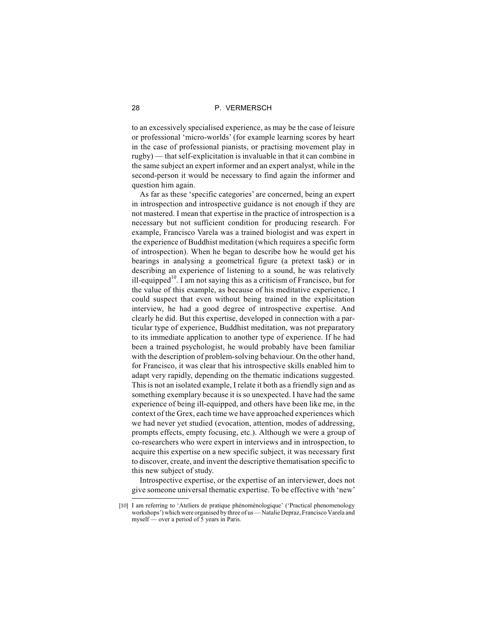to an excessively specialised experience, as may be the case of leisure or professional 'micro-worlds' (for example learning scores by heart in the case of professional pianists, or practising movement play in rugby) — that self-explicitation is invaluable in that it can combine in the same subject an expert informer and an expert analyst, while in the second-person it would be necessary to find again the informer and question him again.

As far as these 'specific categories' are concerned, being an expert in introspection and introspective guidance is not enough if they are not mastered. I mean that expertise in the practice of introspection is a necessary but not sufficient condition for producing research. For example, Francisco Varela was a trained biologist and was expert in the experience of Buddhist meditation (which requires a specific form of introspection). When he began to describe how he would get his bearings in analysing a geometrical figure (a pretext task) or in describing an experience of listening to a sound, he was relatively ill-equipped<sup>10</sup>. I am not saying this as a criticism of Francisco, but for the value of this example, as because of his meditative experience, I could suspect that even without being trained in the explicitation interview, he had a good degree of introspective expertise. And clearly he did. But this expertise, developed in connection with a particular type of experience, Buddhist meditation, was not preparatory to its immediate application to another type of experience. If he had been a trained psychologist, he would probably have been familiar with the description of problem-solving behaviour. On the other hand, for Francisco, it was clear that his introspective skills enabled him to adapt very rapidly, depending on the thematic indications suggested. This is not an isolated example, I relate it both as a friendly sign and as something exemplary because it is so unexpected. I have had the same experience of being ill-equipped, and others have been like me, in the context of the Grex, each time we have approached experiences which we had never yet studied (evocation, attention, modes of addressing, prompts effects, empty focusing, etc.). Although we were a group of co-researchers who were expert in interviews and in introspection, to acquire this expertise on a new specific subject, it was necessary first to discover, create, and invent the descriptive thematisation specific to this new subject of study.

Introspective expertise, or the expertise of an interviewer, does not give someone universal thematic expertise. To be effective with 'new'

<sup>[10]</sup> I am referring to 'Ateliers de pratique phénoménologique' ('Practical phenomenology workshops') which were organised by three of us — Natalie Depraz, Francisco Varela and myself — over a period of 5 years in Paris.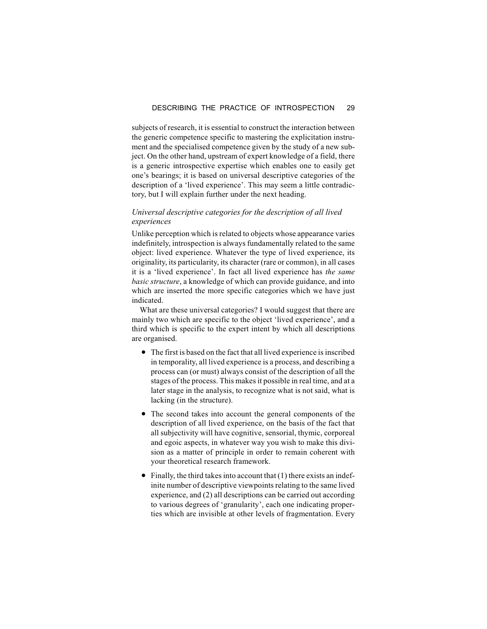subjects of research, it is essential to construct the interaction between the generic competence specific to mastering the explicitation instrument and the specialised competence given by the study of a new subject. On the other hand, upstream of expert knowledge of a field, there is a generic introspective expertise which enables one to easily get one's bearings; it is based on universal descriptive categories of the description of a 'lived experience'. This may seem a little contradictory, but I will explain further under the next heading.

# *Universal descriptive categories for the description of all lived experiences*

Unlike perception which is related to objects whose appearance varies indefinitely, introspection is always fundamentally related to the same object: lived experience. Whatever the type of lived experience, its originality, its particularity, its character (rare or common), in all cases it is a 'lived experience'. In fact all lived experience has *the same basic structure*, a knowledge of which can provide guidance, and into which are inserted the more specific categories which we have just indicated.

What are these universal categories? I would suggest that there are mainly two which are specific to the object 'lived experience', and a third which is specific to the expert intent by which all descriptions are organised.

- The first is based on the fact that all lived experience is inscribed in temporality, all lived experience is a process, and describing a process can (or must) always consist of the description of all the stages of the process. This makes it possible in real time, and at a later stage in the analysis, to recognize what is not said, what is lacking (in the structure).
- The second takes into account the general components of the description of all lived experience, on the basis of the fact that all subjectivity will have cognitive, sensorial, thymic, corporeal and egoic aspects, in whatever way you wish to make this division as a matter of principle in order to remain coherent with your theoretical research framework.
- $\bullet$  Finally, the third takes into account that (1) there exists an indefinite number of descriptive viewpoints relating to the same lived experience, and (2) all descriptions can be carried out according to various degrees of 'granularity', each one indicating properties which are invisible at other levels of fragmentation. Every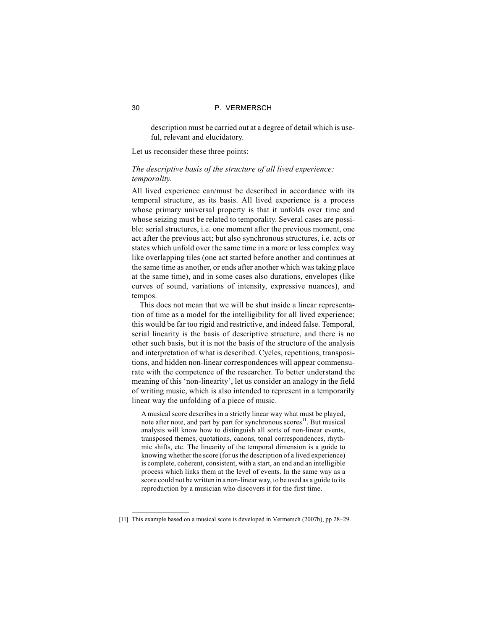description must be carried out at a degree of detail which is useful, relevant and elucidatory.

Let us reconsider these three points:

# *The descriptive basis of the structure of all lived experience: temporality.*

All lived experience can/must be described in accordance with its temporal structure, as its basis. All lived experience is a process whose primary universal property is that it unfolds over time and whose seizing must be related to temporality. Several cases are possible: serial structures, i.e. one moment after the previous moment, one act after the previous act; but also synchronous structures, i.e. acts or states which unfold over the same time in a more or less complex way like overlapping tiles (one act started before another and continues at the same time as another, or ends after another which was taking place at the same time), and in some cases also durations, envelopes (like curves of sound, variations of intensity, expressive nuances), and tempos.

This does not mean that we will be shut inside a linear representation of time as a model for the intelligibility for all lived experience; this would be far too rigid and restrictive, and indeed false. Temporal, serial linearity is the basis of descriptive structure, and there is no other such basis, but it is not the basis of the structure of the analysis and interpretation of what is described. Cycles, repetitions, transpositions, and hidden non-linear correspondences will appear commensurate with the competence of the researcher. To better understand the meaning of this 'non-linearity', let us consider an analogy in the field of writing music, which is also intended to represent in a temporarily linear way the unfolding of a piece of music.

A musical score describes in a strictly linear way what must be played, note after note, and part by part for synchronous scores<sup>11</sup>. But musical analysis will know how to distinguish all sorts of non-linear events, transposed themes, quotations, canons, tonal correspondences, rhythmic shifts, etc. The linearity of the temporal dimension is a guide to knowing whether the score (for us the description of a lived experience) is complete, coherent, consistent, with a start, an end and an intelligible process which links them at the level of events. In the same way as a score could not be written in a non-linear way, to be used as a guide to its reproduction by a musician who discovers it for the first time.

<sup>[11]</sup> This example based on a musical score is developed in Vermersch (2007b), pp 28–29.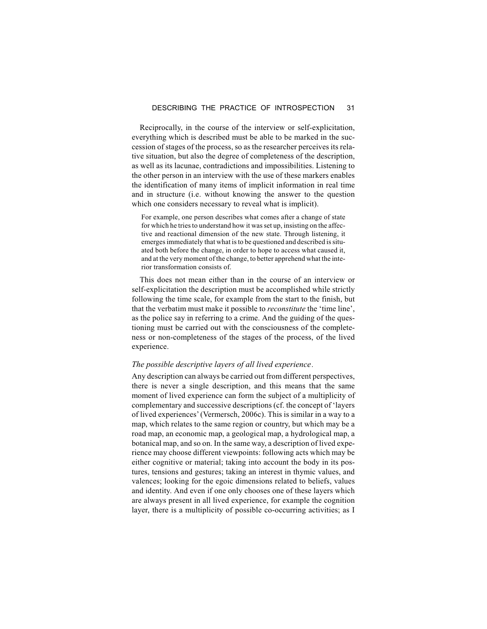Reciprocally, in the course of the interview or self-explicitation, everything which is described must be able to be marked in the succession of stages of the process, so as the researcher perceives its relative situation, but also the degree of completeness of the description, as well as its lacunae, contradictions and impossibilities. Listening to the other person in an interview with the use of these markers enables the identification of many items of implicit information in real time and in structure (i.e. without knowing the answer to the question which one considers necessary to reveal what is implicit).

For example, one person describes what comes after a change of state for which he tries to understand how it was set up, insisting on the affective and reactional dimension of the new state. Through listening, it emerges immediately that what is to be questioned and described is situated both before the change, in order to hope to access what caused it, and at the very moment of the change, to better apprehend what the interior transformation consists of.

This does not mean either than in the course of an interview or self-explicitation the description must be accomplished while strictly following the time scale, for example from the start to the finish, but that the verbatim must make it possible to *reconstitute* the 'time line', as the police say in referring to a crime. And the guiding of the questioning must be carried out with the consciousness of the completeness or non-completeness of the stages of the process, of the lived experience.

# *The possible descriptive layers of all lived experience.*

Any description can always be carried out from different perspectives, there is never a single description, and this means that the same moment of lived experience can form the subject of a multiplicity of complementary and successive descriptions (cf. the concept of 'layers of lived experiences' (Vermersch, 2006c). This is similar in a way to a map, which relates to the same region or country, but which may be a road map, an economic map, a geological map, a hydrological map, a botanical map, and so on. In the same way, a description of lived experience may choose different viewpoints: following acts which may be either cognitive or material; taking into account the body in its postures, tensions and gestures; taking an interest in thymic values, and valences; looking for the egoic dimensions related to beliefs, values and identity. And even if one only chooses one of these layers which are always present in all lived experience, for example the cognition layer, there is a multiplicity of possible co-occurring activities; as I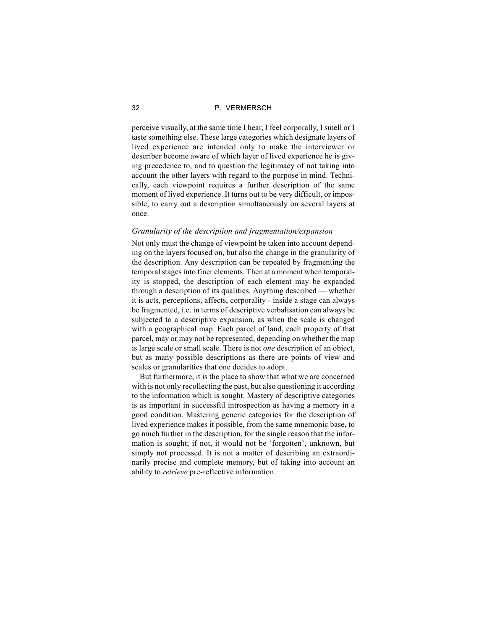perceive visually, at the same time I hear, I feel corporally, I smell or I taste something else. These large categories which designate layers of lived experience are intended only to make the interviewer or describer become aware of which layer of lived experience he is giving precedence to, and to question the legitimacy of not taking into account the other layers with regard to the purpose in mind. Technically, each viewpoint requires a further description of the same moment of lived experience. It turns out to be very difficult, or impossible, to carry out a description simultaneously on several layers at once.

# *Granularity of the description and fragmentation/expansion*

Not only must the change of viewpoint be taken into account depending on the layers focused on, but also the change in the granularity of the description. Any description can be repeated by fragmenting the temporal stages into finer elements. Then at a moment when temporality is stopped, the description of each element may be expanded through a description of its qualities. Anything described — whether it is acts, perceptions, affects, corporality - inside a stage can always be fragmented, i.e. in terms of descriptive verbalisation can always be subjected to a descriptive expansion, as when the scale is changed with a geographical map. Each parcel of land, each property of that parcel, may or may not be represented, depending on whether the map is large scale or small scale. There is not *one* description of an object, but as many possible descriptions as there are points of view and scales or granularities that one decides to adopt.

But furthermore, it is the place to show that what we are concerned with is not only recollecting the past, but also questioning it according to the information which is sought. Mastery of descriptive categories is as important in successful introspection as having a memory in a good condition. Mastering generic categories for the description of lived experience makes it possible, from the same mnemonic base, to go much further in the description, for the single reason that the information is sought; if not, it would not be 'forgotten', unknown, but simply not processed. It is not a matter of describing an extraordinarily precise and complete memory, but of taking into account an ability to *retrieve* pre-reflective information.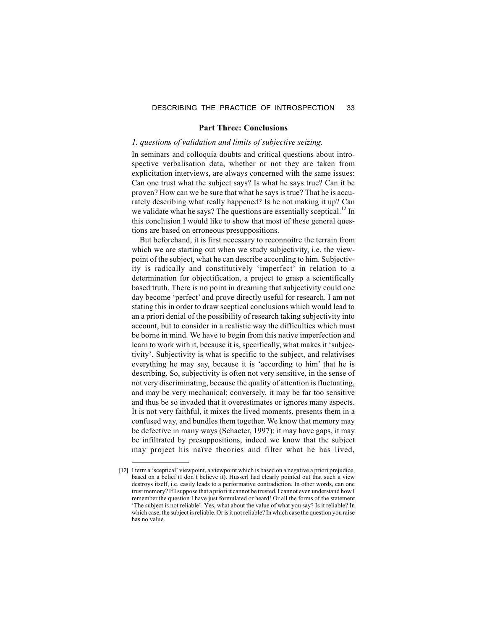# DESCRIBING THE PRACTICE OF INTROSPECTION 33

# **Part Three: Conclusions**

# *1. questions of validation and limits of subjective seizing.*

In seminars and colloquia doubts and critical questions about introspective verbalisation data, whether or not they are taken from explicitation interviews, are always concerned with the same issues: Can one trust what the subject says? Is what he says true? Can it be proven? How can we be sure that what he says is true? That he is accurately describing what really happened? Is he not making it up? Can we validate what he says? The questions are essentially sceptical.<sup>12</sup> In this conclusion I would like to show that most of these general questions are based on erroneous presuppositions.

But beforehand, it is first necessary to reconnoitre the terrain from which we are starting out when we study subjectivity, *i.e.* the viewpoint of the subject, what he can describe according to him. Subjectivity is radically and constitutively 'imperfect' in relation to a determination for objectification, a project to grasp a scientifically based truth. There is no point in dreaming that subjectivity could one day become 'perfect' and prove directly useful for research. I am not stating this in order to draw sceptical conclusions which would lead to an a priori denial of the possibility of research taking subjectivity into account, but to consider in a realistic way the difficulties which must be borne in mind. We have to begin from this native imperfection and learn to work with it, because it is, specifically, what makes it 'subjectivity'. Subjectivity is what is specific to the subject, and relativises everything he may say, because it is 'according to him' that he is describing. So, subjectivity is often not very sensitive, in the sense of not very discriminating, because the quality of attention is fluctuating, and may be very mechanical; conversely, it may be far too sensitive and thus be so invaded that it overestimates or ignores many aspects. It is not very faithful, it mixes the lived moments, presents them in a confused way, and bundles them together. We know that memory may be defective in many ways (Schacter, 1997): it may have gaps, it may be infiltrated by presuppositions, indeed we know that the subject may project his naïve theories and filter what he has lived,

<sup>[12]</sup> I term a 'sceptical' viewpoint, a viewpoint which is based on a negative a priori prejudice, based on a belief (I don't believe it). Husserl had clearly pointed out that such a view destroys itself, i.e. easily leads to a performative contradiction. In other words, can one trust memory? If I suppose that a priori it cannot be trusted, I cannot even understand how I remember the question I have just formulated or heard! Or all the forms of the statement 'The subject is not reliable'. Yes, what about the value of what you say? Is it reliable? In which case, the subject is reliable. Or is it not reliable? In which case the question you raise has no value.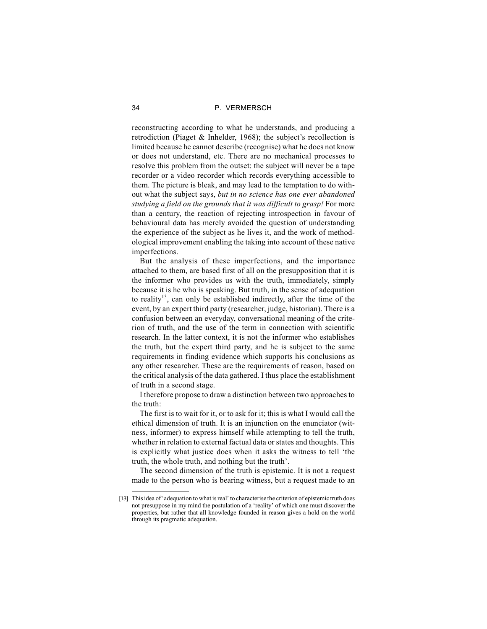reconstructing according to what he understands, and producing a retrodiction (Piaget & Inhelder, 1968); the subject's recollection is limited because he cannot describe (recognise) what he does not know or does not understand, etc. There are no mechanical processes to resolve this problem from the outset: the subject will never be a tape recorder or a video recorder which records everything accessible to them. The picture is bleak, and may lead to the temptation to do without what the subject says, *but in no science has one ever abandoned studying a field on the grounds that it was difficult to grasp!* For more than a century, the reaction of rejecting introspection in favour of behavioural data has merely avoided the question of understanding the experience of the subject as he lives it, and the work of methodological improvement enabling the taking into account of these native imperfections.

But the analysis of these imperfections, and the importance attached to them, are based first of all on the presupposition that it is the informer who provides us with the truth, immediately, simply because it is he who is speaking. But truth, in the sense of adequation to reality<sup>13</sup>, can only be established indirectly, after the time of the event, by an expert third party (researcher, judge, historian). There is a confusion between an everyday, conversational meaning of the criterion of truth, and the use of the term in connection with scientific research. In the latter context, it is not the informer who establishes the truth, but the expert third party, and he is subject to the same requirements in finding evidence which supports his conclusions as any other researcher. These are the requirements of reason, based on the critical analysis of the data gathered. I thus place the establishment of truth in a second stage.

I therefore propose to draw a distinction between two approaches to the truth:

The first is to wait for it, or to ask for it; this is what I would call the ethical dimension of truth. It is an injunction on the enunciator (witness, informer) to express himself while attempting to tell the truth, whether in relation to external factual data or states and thoughts. This is explicitly what justice does when it asks the witness to tell 'the truth, the whole truth, and nothing but the truth'.

The second dimension of the truth is epistemic. It is not a request made to the person who is bearing witness, but a request made to an

<sup>[13]</sup> This idea of 'adequation to what is real' to characterise the criterion of epistemic truth does not presuppose in my mind the postulation of a 'reality' of which one must discover the properties, but rather that all knowledge founded in reason gives a hold on the world through its pragmatic adequation.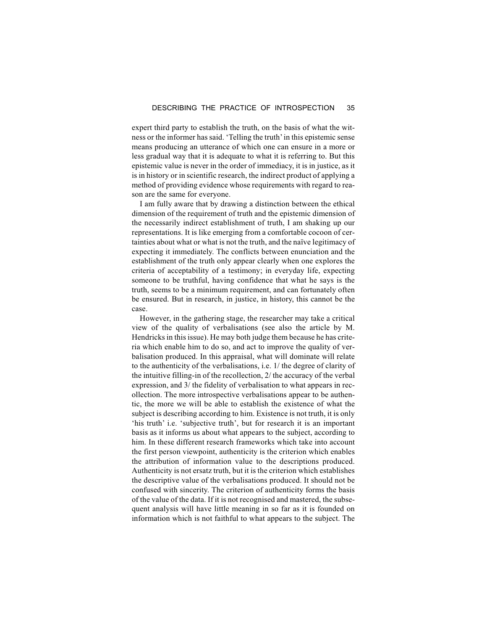expert third party to establish the truth, on the basis of what the witness or the informer has said. 'Telling the truth' in this epistemic sense means producing an utterance of which one can ensure in a more or less gradual way that it is adequate to what it is referring to. But this epistemic value is never in the order of immediacy, it is in justice, as it is in history or in scientific research, the indirect product of applying a method of providing evidence whose requirements with regard to reason are the same for everyone.

I am fully aware that by drawing a distinction between the ethical dimension of the requirement of truth and the epistemic dimension of the necessarily indirect establishment of truth, I am shaking up our representations. It is like emerging from a comfortable cocoon of certainties about what or what is not the truth, and the naïve legitimacy of expecting it immediately. The conflicts between enunciation and the establishment of the truth only appear clearly when one explores the criteria of acceptability of a testimony; in everyday life, expecting someone to be truthful, having confidence that what he says is the truth, seems to be a minimum requirement, and can fortunately often be ensured. But in research, in justice, in history, this cannot be the case.

However, in the gathering stage, the researcher may take a critical view of the quality of verbalisations (see also the article by M. Hendricks in this issue). He may both judge them because he has criteria which enable him to do so, and act to improve the quality of verbalisation produced. In this appraisal, what will dominate will relate to the authenticity of the verbalisations, i.e. 1/ the degree of clarity of the intuitive filling-in of the recollection, 2/ the accuracy of the verbal expression, and 3/ the fidelity of verbalisation to what appears in recollection. The more introspective verbalisations appear to be authentic, the more we will be able to establish the existence of what the subject is describing according to him. Existence is not truth, it is only 'his truth' i.e. 'subjective truth', but for research it is an important basis as it informs us about what appears to the subject, according to him. In these different research frameworks which take into account the first person viewpoint, authenticity is the criterion which enables the attribution of information value to the descriptions produced. Authenticity is not ersatz truth, but it is the criterion which establishes the descriptive value of the verbalisations produced. It should not be confused with sincerity. The criterion of authenticity forms the basis of the value of the data. If it is not recognised and mastered, the subsequent analysis will have little meaning in so far as it is founded on information which is not faithful to what appears to the subject. The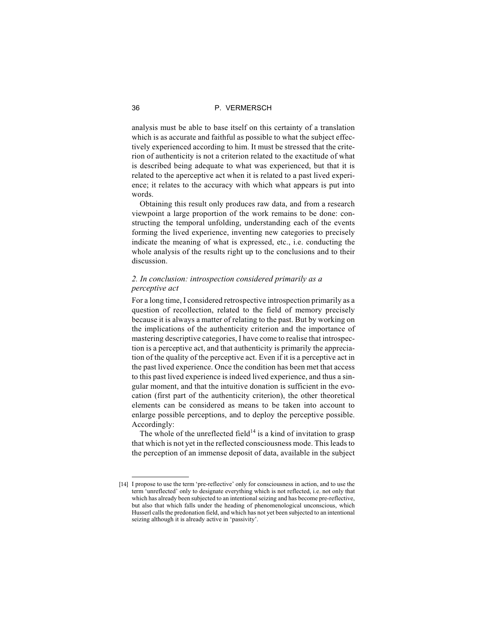analysis must be able to base itself on this certainty of a translation which is as accurate and faithful as possible to what the subject effectively experienced according to him. It must be stressed that the criterion of authenticity is not a criterion related to the exactitude of what is described being adequate to what was experienced, but that it is related to the aperceptive act when it is related to a past lived experience; it relates to the accuracy with which what appears is put into words.

Obtaining this result only produces raw data, and from a research viewpoint a large proportion of the work remains to be done: constructing the temporal unfolding, understanding each of the events forming the lived experience, inventing new categories to precisely indicate the meaning of what is expressed, etc., i.e. conducting the whole analysis of the results right up to the conclusions and to their discussion.

# *2. In conclusion: introspection considered primarily as a perceptive act*

For a long time, I considered retrospective introspection primarily as a question of recollection, related to the field of memory precisely because it is always a matter of relating to the past. But by working on the implications of the authenticity criterion and the importance of mastering descriptive categories, I have come to realise that introspection is a perceptive act, and that authenticity is primarily the appreciation of the quality of the perceptive act. Even if it is a perceptive act in the past lived experience. Once the condition has been met that access to this past lived experience is indeed lived experience, and thus a singular moment, and that the intuitive donation is sufficient in the evocation (first part of the authenticity criterion), the other theoretical elements can be considered as means to be taken into account to enlarge possible perceptions, and to deploy the perceptive possible. Accordingly:

The whole of the unreflected field<sup> $14$ </sup> is a kind of invitation to grasp that which is not yet in the reflected consciousness mode. This leads to the perception of an immense deposit of data, available in the subject

<sup>[14]</sup> I propose to use the term 'pre-reflective' only for consciousness in action, and to use the term 'unreflected' only to designate everything which is not reflected, i.e. not only that which has already been subjected to an intentional seizing and has become pre-reflective, but also that which falls under the heading of phenomenological unconscious, which Husserl calls the predonation field, and which has not yet been subjected to an intentional seizing although it is already active in 'passivity'.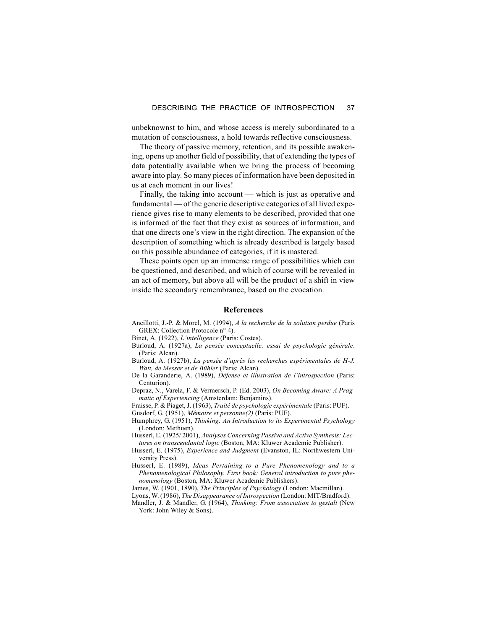unbeknownst to him, and whose access is merely subordinated to a mutation of consciousness, a hold towards reflective consciousness.

The theory of passive memory, retention, and its possible awakening, opens up another field of possibility, that of extending the types of data potentially available when we bring the process of becoming aware into play. So many pieces of information have been deposited in us at each moment in our lives!

Finally, the taking into account — which is just as operative and fundamental — of the generic descriptive categories of all lived experience gives rise to many elements to be described, provided that one is informed of the fact that they exist as sources of information, and that one directs one's view in the right direction. The expansion of the description of something which is already described is largely based on this possible abundance of categories, if it is mastered.

These points open up an immense range of possibilities which can be questioned, and described, and which of course will be revealed in an act of memory, but above all will be the product of a shift in view inside the secondary remembrance, based on the evocation.

# **References**

Ancillotti, J.-P. & Morel, M. (1994), *A la recherche de la solution perdue* (Paris GREX: Collection Protocole n° 4).

Binet, A. (1922), *L'intelligence* (Paris: Costes).

- Burloud, A. (1927a), *La pensée conceptuelle: essai de psychologie générale*. (Paris: Alcan).
- Burloud, A. (1927b), *La pensée d'après les recherches expérimentales de H-J. Watt, de Messer et de Bühler* (Paris: Alcan).
- De la Garanderie, A. (1989), *Défense et illustration de l'introspection* (Paris: Centurion).
- Depraz, N., Varela, F. & Vermersch, P. (Ed. 2003), *On Becoming Aware: A Pragmatic of Experiencing* (Amsterdam: Benjamins).

Fraisse, P. & Piaget, J. (1963), *Traité de psychologie expérimentale* (Paris: PUF). Gusdorf, G. (1951), *Mémoire et personne(2)* (Paris: PUF).

- Humphrey, G. (1951), *Thinking: An Introduction to its Experimental Psychology* (London: Methuen).
- Husserl, E. (1925/ 2001), *Analyses Concerning Passive and Active Synthesis: Lectures on transcendantal logic* (Boston, MA: Kluwer Academic Publisher).
- Husserl, E. (1975), *Experience and Judgment* (Evanston, IL: Northwestern University Press).
- Husserl, E. (1989), *Ideas Pertaining to a Pure Phenomenology and to a Phenomenological Philosophy. First book: General introduction to pure phenomenology* (Boston, MA: Kluwer Academic Publishers).
- James, W. (1901, 1890), *The Principles of Psychology* (London: Macmillan).
- Lyons, W. (1986), *The Disappearance of Introspection* (London: MIT/Bradford).

Mandler, J. & Mandler, G. (1964), *Thinking: From association to gestalt* (New York: John Wiley & Sons).